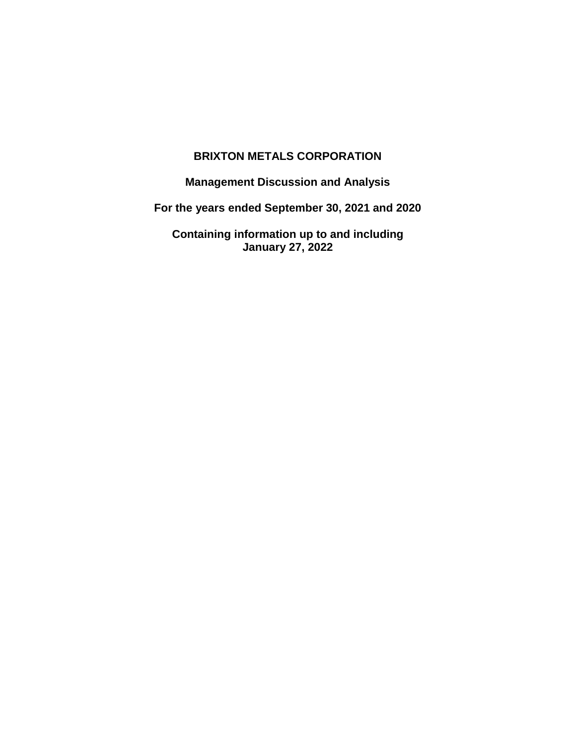# **BRIXTON METALS CORPORATION**

**Management Discussion and Analysis**

**For the years ended September 30, 2021 and 2020**

**Containing information up to and including January 27, 2022**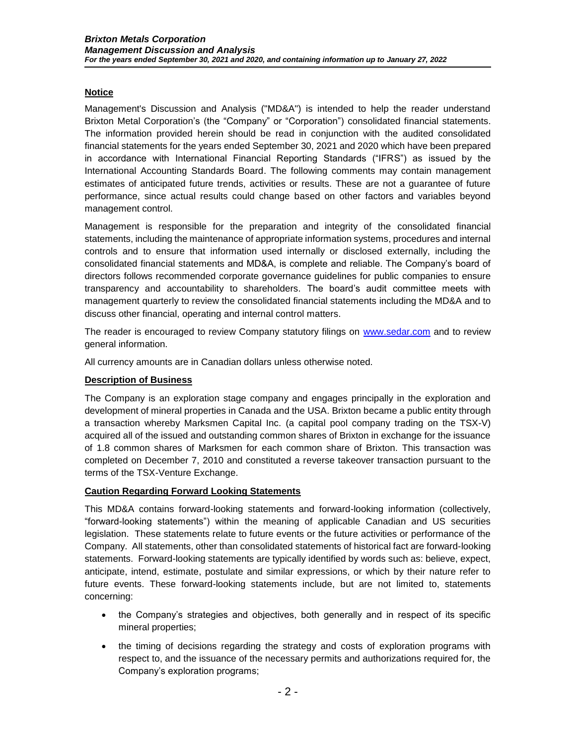## **Notice**

Management's Discussion and Analysis ("MD&A") is intended to help the reader understand Brixton Metal Corporation's (the "Company" or "Corporation") consolidated financial statements. The information provided herein should be read in conjunction with the audited consolidated financial statements for the years ended September 30, 2021 and 2020 which have been prepared in accordance with International Financial Reporting Standards ("IFRS") as issued by the International Accounting Standards Board. The following comments may contain management estimates of anticipated future trends, activities or results. These are not a guarantee of future performance, since actual results could change based on other factors and variables beyond management control.

Management is responsible for the preparation and integrity of the consolidated financial statements, including the maintenance of appropriate information systems, procedures and internal controls and to ensure that information used internally or disclosed externally, including the consolidated financial statements and MD&A, is complete and reliable. The Company's board of directors follows recommended corporate governance guidelines for public companies to ensure transparency and accountability to shareholders. The board's audit committee meets with management quarterly to review the consolidated financial statements including the MD&A and to discuss other financial, operating and internal control matters.

The reader is encouraged to review Company statutory filings on [www.sedar.com](http://www.sedar.com/) and to review general information.

All currency amounts are in Canadian dollars unless otherwise noted.

## **Description of Business**

The Company is an exploration stage company and engages principally in the exploration and development of mineral properties in Canada and the USA. Brixton became a public entity through a transaction whereby Marksmen Capital Inc. (a capital pool company trading on the TSX-V) acquired all of the issued and outstanding common shares of Brixton in exchange for the issuance of 1.8 common shares of Marksmen for each common share of Brixton. This transaction was completed on December 7, 2010 and constituted a reverse takeover transaction pursuant to the terms of the TSX-Venture Exchange.

## **Caution Regarding Forward Looking Statements**

This MD&A contains forward-looking statements and forward-looking information (collectively, "forward-looking statements") within the meaning of applicable Canadian and US securities legislation. These statements relate to future events or the future activities or performance of the Company. All statements, other than consolidated statements of historical fact are forward-looking statements. Forward-looking statements are typically identified by words such as: believe, expect, anticipate, intend, estimate, postulate and similar expressions, or which by their nature refer to future events. These forward-looking statements include, but are not limited to, statements concerning:

- the Company's strategies and objectives, both generally and in respect of its specific mineral properties;
- the timing of decisions regarding the strategy and costs of exploration programs with respect to, and the issuance of the necessary permits and authorizations required for, the Company's exploration programs;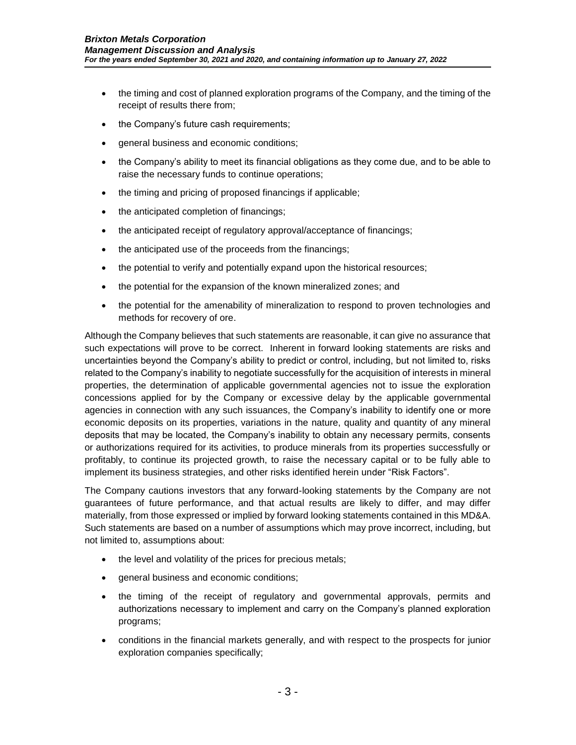- the timing and cost of planned exploration programs of the Company, and the timing of the receipt of results there from;
- the Company's future cash requirements;
- general business and economic conditions;
- the Company's ability to meet its financial obligations as they come due, and to be able to raise the necessary funds to continue operations;
- the timing and pricing of proposed financings if applicable;
- the anticipated completion of financings;
- the anticipated receipt of regulatory approval/acceptance of financings;
- the anticipated use of the proceeds from the financings;
- the potential to verify and potentially expand upon the historical resources;
- the potential for the expansion of the known mineralized zones; and
- the potential for the amenability of mineralization to respond to proven technologies and methods for recovery of ore.

Although the Company believes that such statements are reasonable, it can give no assurance that such expectations will prove to be correct. Inherent in forward looking statements are risks and uncertainties beyond the Company's ability to predict or control, including, but not limited to, risks related to the Company's inability to negotiate successfully for the acquisition of interests in mineral properties, the determination of applicable governmental agencies not to issue the exploration concessions applied for by the Company or excessive delay by the applicable governmental agencies in connection with any such issuances, the Company's inability to identify one or more economic deposits on its properties, variations in the nature, quality and quantity of any mineral deposits that may be located, the Company's inability to obtain any necessary permits, consents or authorizations required for its activities, to produce minerals from its properties successfully or profitably, to continue its projected growth, to raise the necessary capital or to be fully able to implement its business strategies, and other risks identified herein under "Risk Factors".

The Company cautions investors that any forward-looking statements by the Company are not guarantees of future performance, and that actual results are likely to differ, and may differ materially, from those expressed or implied by forward looking statements contained in this MD&A. Such statements are based on a number of assumptions which may prove incorrect, including, but not limited to, assumptions about:

- the level and volatility of the prices for precious metals;
- general business and economic conditions;
- the timing of the receipt of regulatory and governmental approvals, permits and authorizations necessary to implement and carry on the Company's planned exploration programs;
- conditions in the financial markets generally, and with respect to the prospects for junior exploration companies specifically;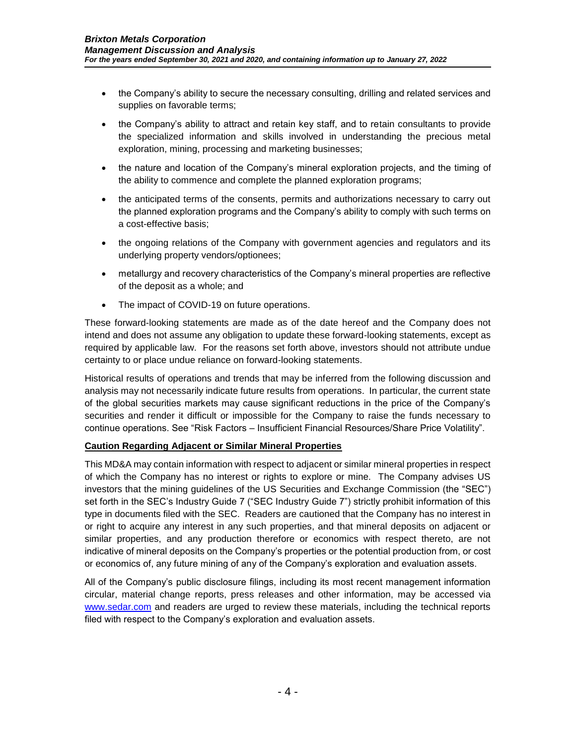- the Company's ability to secure the necessary consulting, drilling and related services and supplies on favorable terms;
- the Company's ability to attract and retain key staff, and to retain consultants to provide the specialized information and skills involved in understanding the precious metal exploration, mining, processing and marketing businesses;
- the nature and location of the Company's mineral exploration projects, and the timing of the ability to commence and complete the planned exploration programs;
- the anticipated terms of the consents, permits and authorizations necessary to carry out the planned exploration programs and the Company's ability to comply with such terms on a cost-effective basis;
- the ongoing relations of the Company with government agencies and regulators and its underlying property vendors/optionees;
- metallurgy and recovery characteristics of the Company's mineral properties are reflective of the deposit as a whole; and
- The impact of COVID-19 on future operations.

These forward-looking statements are made as of the date hereof and the Company does not intend and does not assume any obligation to update these forward-looking statements, except as required by applicable law. For the reasons set forth above, investors should not attribute undue certainty to or place undue reliance on forward-looking statements.

Historical results of operations and trends that may be inferred from the following discussion and analysis may not necessarily indicate future results from operations. In particular, the current state of the global securities markets may cause significant reductions in the price of the Company's securities and render it difficult or impossible for the Company to raise the funds necessary to continue operations. See "Risk Factors – Insufficient Financial Resources/Share Price Volatility".

#### **Caution Regarding Adjacent or Similar Mineral Properties**

This MD&A may contain information with respect to adjacent or similar mineral properties in respect of which the Company has no interest or rights to explore or mine. The Company advises US investors that the mining guidelines of the US Securities and Exchange Commission (the "SEC") set forth in the SEC's Industry Guide 7 ("SEC Industry Guide 7") strictly prohibit information of this type in documents filed with the SEC. Readers are cautioned that the Company has no interest in or right to acquire any interest in any such properties, and that mineral deposits on adjacent or similar properties, and any production therefore or economics with respect thereto, are not indicative of mineral deposits on the Company's properties or the potential production from, or cost or economics of, any future mining of any of the Company's exploration and evaluation assets.

All of the Company's public disclosure filings, including its most recent management information circular, material change reports, press releases and other information, may be accessed via [www.sedar.com](http://www.sedar.com/) and readers are urged to review these materials, including the technical reports filed with respect to the Company's exploration and evaluation assets.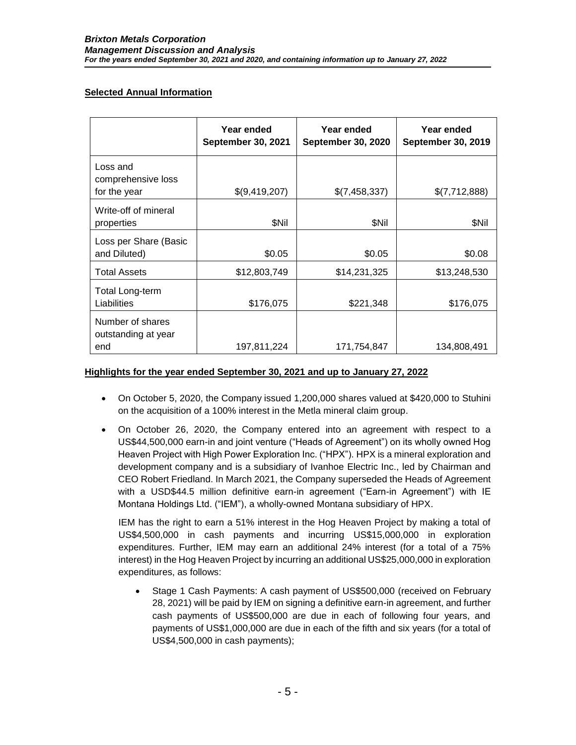## **Selected Annual Information**

|                                                | Year ended<br><b>September 30, 2021</b> | Year ended<br><b>September 30, 2020</b> | Year ended<br><b>September 30, 2019</b> |
|------------------------------------------------|-----------------------------------------|-----------------------------------------|-----------------------------------------|
| Loss and<br>comprehensive loss<br>for the year | \$(9,419,207)                           | \$(7,458,337)                           | \$(7,712,888)                           |
| Write-off of mineral<br>properties             | \$Nil                                   | \$Nil                                   | \$Nil                                   |
| Loss per Share (Basic<br>and Diluted)          | \$0.05                                  | \$0.05                                  | \$0.08                                  |
| <b>Total Assets</b>                            | \$12,803,749                            | \$14,231,325                            | \$13,248,530                            |
| <b>Total Long-term</b><br>Liabilities          | \$176,075                               | \$221,348                               | \$176,075                               |
| Number of shares<br>outstanding at year<br>end | 197,811,224                             | 171,754,847                             | 134,808,491                             |

## **Highlights for the year ended September 30, 2021 and up to January 27, 2022**

- On October 5, 2020, the Company issued 1,200,000 shares valued at \$420,000 to Stuhini on the acquisition of a 100% interest in the Metla mineral claim group.
- On October 26, 2020, the Company entered into an agreement with respect to a US\$44,500,000 earn-in and joint venture ("Heads of Agreement") on its wholly owned Hog Heaven Project with High Power Exploration Inc. ("HPX"). HPX is a mineral exploration and development company and is a subsidiary of Ivanhoe Electric Inc., led by Chairman and CEO Robert Friedland. In March 2021, the Company superseded the Heads of Agreement with a USD\$44.5 million definitive earn-in agreement ("Earn-in Agreement") with IE Montana Holdings Ltd. ("IEM"), a wholly-owned Montana subsidiary of HPX.

IEM has the right to earn a 51% interest in the Hog Heaven Project by making a total of US\$4,500,000 in cash payments and incurring US\$15,000,000 in exploration expenditures. Further, IEM may earn an additional 24% interest (for a total of a 75% interest) in the Hog Heaven Project by incurring an additional US\$25,000,000 in exploration expenditures, as follows:

 Stage 1 Cash Payments: A cash payment of US\$500,000 (received on February 28, 2021) will be paid by IEM on signing a definitive earn-in agreement, and further cash payments of US\$500,000 are due in each of following four years, and payments of US\$1,000,000 are due in each of the fifth and six years (for a total of US\$4,500,000 in cash payments);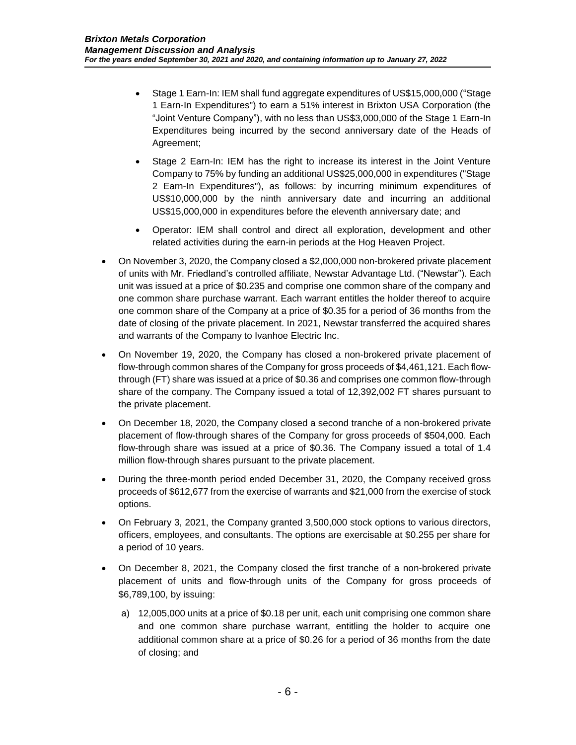- Stage 1 Earn-In: IEM shall fund aggregate expenditures of US\$15,000,000 ("Stage 1 Earn-In Expenditures") to earn a 51% interest in Brixton USA Corporation (the "Joint Venture Company"), with no less than US\$3,000,000 of the Stage 1 Earn-In Expenditures being incurred by the second anniversary date of the Heads of Agreement;
- Stage 2 Earn-In: IEM has the right to increase its interest in the Joint Venture Company to 75% by funding an additional US\$25,000,000 in expenditures ("Stage 2 Earn-In Expenditures"), as follows: by incurring minimum expenditures of US\$10,000,000 by the ninth anniversary date and incurring an additional US\$15,000,000 in expenditures before the eleventh anniversary date; and
- Operator: IEM shall control and direct all exploration, development and other related activities during the earn-in periods at the Hog Heaven Project.
- On November 3, 2020, the Company closed a \$2,000,000 non-brokered private placement of units with Mr. Friedland's controlled affiliate, Newstar Advantage Ltd. ("Newstar"). Each unit was issued at a price of \$0.235 and comprise one common share of the company and one common share purchase warrant. Each warrant entitles the holder thereof to acquire one common share of the Company at a price of \$0.35 for a period of 36 months from the date of closing of the private placement. In 2021, Newstar transferred the acquired shares and warrants of the Company to Ivanhoe Electric Inc.
- On November 19, 2020, the Company has closed a non-brokered private placement of flow-through common shares of the Company for gross proceeds of \$4,461,121. Each flowthrough (FT) share was issued at a price of \$0.36 and comprises one common flow-through share of the company. The Company issued a total of 12,392,002 FT shares pursuant to the private placement.
- On December 18, 2020, the Company closed a second tranche of a non-brokered private placement of flow-through shares of the Company for gross proceeds of \$504,000. Each flow-through share was issued at a price of \$0.36. The Company issued a total of 1.4 million flow-through shares pursuant to the private placement.
- During the three-month period ended December 31, 2020, the Company received gross proceeds of \$612,677 from the exercise of warrants and \$21,000 from the exercise of stock options.
- On February 3, 2021, the Company granted 3,500,000 stock options to various directors, officers, employees, and consultants. The options are exercisable at \$0.255 per share for a period of 10 years.
- On December 8, 2021, the Company closed the first tranche of a non-brokered private placement of units and flow-through units of the Company for gross proceeds of \$6,789,100, by issuing:
	- a) 12,005,000 units at a price of \$0.18 per unit, each unit comprising one common share and one common share purchase warrant, entitling the holder to acquire one additional common share at a price of \$0.26 for a period of 36 months from the date of closing; and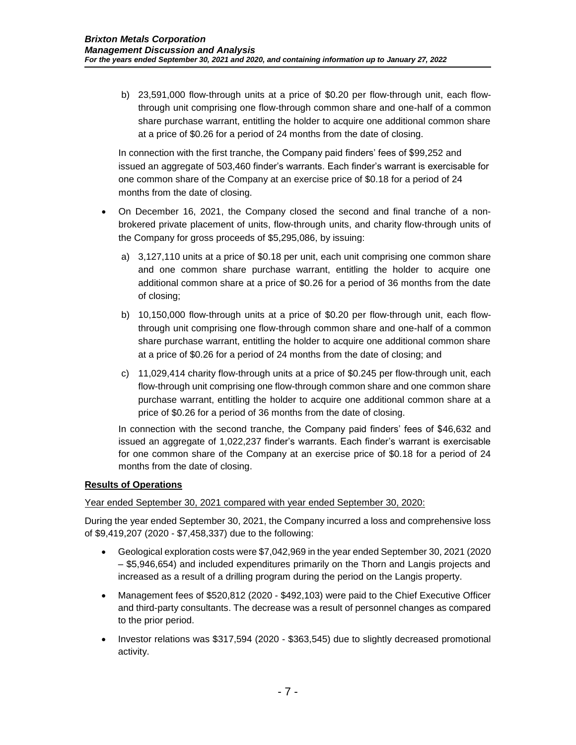b) 23,591,000 flow-through units at a price of \$0.20 per flow-through unit, each flowthrough unit comprising one flow-through common share and one-half of a common share purchase warrant, entitling the holder to acquire one additional common share at a price of \$0.26 for a period of 24 months from the date of closing.

In connection with the first tranche, the Company paid finders' fees of \$99,252 and issued an aggregate of 503,460 finder's warrants. Each finder's warrant is exercisable for one common share of the Company at an exercise price of \$0.18 for a period of 24 months from the date of closing.

- On December 16, 2021, the Company closed the second and final tranche of a nonbrokered private placement of units, flow-through units, and charity flow-through units of the Company for gross proceeds of \$5,295,086, by issuing:
	- a) 3,127,110 units at a price of \$0.18 per unit, each unit comprising one common share and one common share purchase warrant, entitling the holder to acquire one additional common share at a price of \$0.26 for a period of 36 months from the date of closing;
	- b) 10,150,000 flow-through units at a price of \$0.20 per flow-through unit, each flowthrough unit comprising one flow-through common share and one-half of a common share purchase warrant, entitling the holder to acquire one additional common share at a price of \$0.26 for a period of 24 months from the date of closing; and
	- c) 11,029,414 charity flow-through units at a price of \$0.245 per flow-through unit, each flow-through unit comprising one flow-through common share and one common share purchase warrant, entitling the holder to acquire one additional common share at a price of \$0.26 for a period of 36 months from the date of closing.

In connection with the second tranche, the Company paid finders' fees of \$46,632 and issued an aggregate of 1,022,237 finder's warrants. Each finder's warrant is exercisable for one common share of the Company at an exercise price of \$0.18 for a period of 24 months from the date of closing.

## **Results of Operations**

Year ended September 30, 2021 compared with year ended September 30, 2020:

During the year ended September 30, 2021, the Company incurred a loss and comprehensive loss of \$9,419,207 (2020 - \$7,458,337) due to the following:

- Geological exploration costs were \$7,042,969 in the year ended September 30, 2021 (2020 – \$5,946,654) and included expenditures primarily on the Thorn and Langis projects and increased as a result of a drilling program during the period on the Langis property.
- Management fees of \$520,812 (2020 \$492,103) were paid to the Chief Executive Officer and third-party consultants. The decrease was a result of personnel changes as compared to the prior period.
- Investor relations was \$317,594 (2020 \$363,545) due to slightly decreased promotional activity.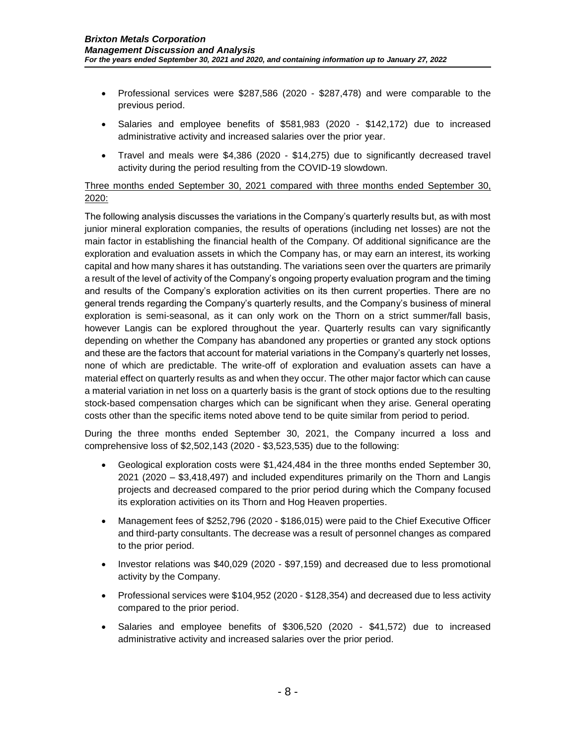- Professional services were \$287,586 (2020 \$287,478) and were comparable to the previous period.
- Salaries and employee benefits of \$581,983 (2020 \$142,172) due to increased administrative activity and increased salaries over the prior year.
- Travel and meals were \$4,386 (2020 \$14,275) due to significantly decreased travel activity during the period resulting from the COVID-19 slowdown.

## Three months ended September 30, 2021 compared with three months ended September 30, 2020:

The following analysis discusses the variations in the Company's quarterly results but, as with most junior mineral exploration companies, the results of operations (including net losses) are not the main factor in establishing the financial health of the Company. Of additional significance are the exploration and evaluation assets in which the Company has, or may earn an interest, its working capital and how many shares it has outstanding. The variations seen over the quarters are primarily a result of the level of activity of the Company's ongoing property evaluation program and the timing and results of the Company's exploration activities on its then current properties. There are no general trends regarding the Company's quarterly results, and the Company's business of mineral exploration is semi-seasonal, as it can only work on the Thorn on a strict summer/fall basis, however Langis can be explored throughout the year. Quarterly results can vary significantly depending on whether the Company has abandoned any properties or granted any stock options and these are the factors that account for material variations in the Company's quarterly net losses, none of which are predictable. The write-off of exploration and evaluation assets can have a material effect on quarterly results as and when they occur. The other major factor which can cause a material variation in net loss on a quarterly basis is the grant of stock options due to the resulting stock-based compensation charges which can be significant when they arise. General operating costs other than the specific items noted above tend to be quite similar from period to period.

During the three months ended September 30, 2021, the Company incurred a loss and comprehensive loss of \$2,502,143 (2020 - \$3,523,535) due to the following:

- Geological exploration costs were \$1,424,484 in the three months ended September 30, 2021 (2020 – \$3,418,497) and included expenditures primarily on the Thorn and Langis projects and decreased compared to the prior period during which the Company focused its exploration activities on its Thorn and Hog Heaven properties.
- Management fees of \$252,796 (2020 \$186,015) were paid to the Chief Executive Officer and third-party consultants. The decrease was a result of personnel changes as compared to the prior period.
- Investor relations was \$40,029 (2020 \$97,159) and decreased due to less promotional activity by the Company.
- Professional services were \$104,952 (2020 \$128,354) and decreased due to less activity compared to the prior period.
- Salaries and employee benefits of \$306,520 (2020 \$41,572) due to increased administrative activity and increased salaries over the prior period.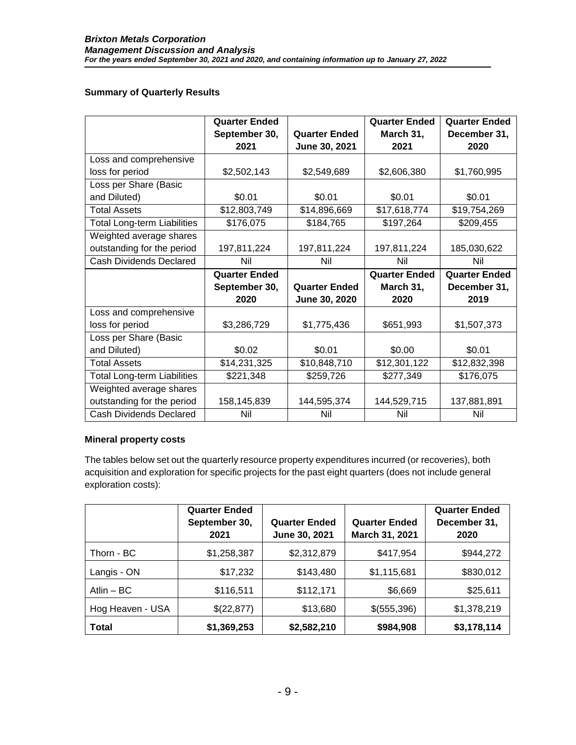#### **Summary of Quarterly Results**

|                                    | <b>Quarter Ended</b> |                      | <b>Quarter Ended</b> | <b>Quarter Ended</b> |
|------------------------------------|----------------------|----------------------|----------------------|----------------------|
|                                    | September 30,        | <b>Quarter Ended</b> | March 31,            | December 31,         |
|                                    | 2021                 | June 30, 2021        | 2021                 | 2020                 |
| Loss and comprehensive             |                      |                      |                      |                      |
| loss for period                    | \$2,502,143          | \$2,549,689          | \$2,606,380          | \$1,760,995          |
| Loss per Share (Basic              |                      |                      |                      |                      |
| and Diluted)                       | \$0.01               | \$0.01               | \$0.01               | \$0.01               |
| <b>Total Assets</b>                | \$12,803,749         | \$14,896,669         | \$17,618,774         | \$19,754,269         |
| <b>Total Long-term Liabilities</b> | \$176,075            | \$184,765            | \$197,264            | \$209,455            |
| Weighted average shares            |                      |                      |                      |                      |
| outstanding for the period         | 197,811,224          | 197,811,224          | 197,811,224          | 185,030,622          |
| <b>Cash Dividends Declared</b>     | Nil                  | Nil                  | Nil                  | Nil                  |
|                                    |                      |                      |                      |                      |
|                                    | <b>Quarter Ended</b> |                      | <b>Quarter Ended</b> | <b>Quarter Ended</b> |
|                                    | September 30,        | <b>Quarter Ended</b> | March 31,            | December 31,         |
|                                    | 2020                 | June 30, 2020        | 2020                 | 2019                 |
| Loss and comprehensive             |                      |                      |                      |                      |
| loss for period                    | \$3,286,729          | \$1,775,436          | \$651,993            | \$1,507,373          |
| Loss per Share (Basic              |                      |                      |                      |                      |
| and Diluted)                       | \$0.02               | \$0.01               | \$0.00               | \$0.01               |
| <b>Total Assets</b>                | \$14,231,325         | \$10,848,710         | \$12,301,122         | \$12,832,398         |
| <b>Total Long-term Liabilities</b> | \$221,348            | \$259,726            | \$277,349            | \$176,075            |
| Weighted average shares            |                      |                      |                      |                      |
| outstanding for the period         | 158,145,839          | 144,595,374          | 144,529,715          | 137,881,891          |

#### **Mineral property costs**

The tables below set out the quarterly resource property expenditures incurred (or recoveries), both acquisition and exploration for specific projects for the past eight quarters (does not include general exploration costs):

|                  | <b>Quarter Ended</b><br>September 30,<br>2021 | <b>Quarter Ended</b><br>June 30, 2021 | <b>Quarter Ended</b><br>March 31, 2021 | <b>Quarter Ended</b><br>December 31,<br>2020 |
|------------------|-----------------------------------------------|---------------------------------------|----------------------------------------|----------------------------------------------|
| Thorn - BC       | \$1,258,387                                   | \$2,312,879                           | \$417,954                              | \$944,272                                    |
| Langis - ON      | \$17,232                                      | \$143,480                             | \$1,115,681                            | \$830,012                                    |
| Atlin $-$ BC     | \$116,511                                     | \$112,171                             | \$6,669                                | \$25,611                                     |
| Hog Heaven - USA | \$(22,877)                                    | \$13,680                              | \$(555,396)                            | \$1,378,219                                  |
| <b>Total</b>     | \$1,369,253                                   | \$2,582,210                           | \$984,908                              | \$3,178,114                                  |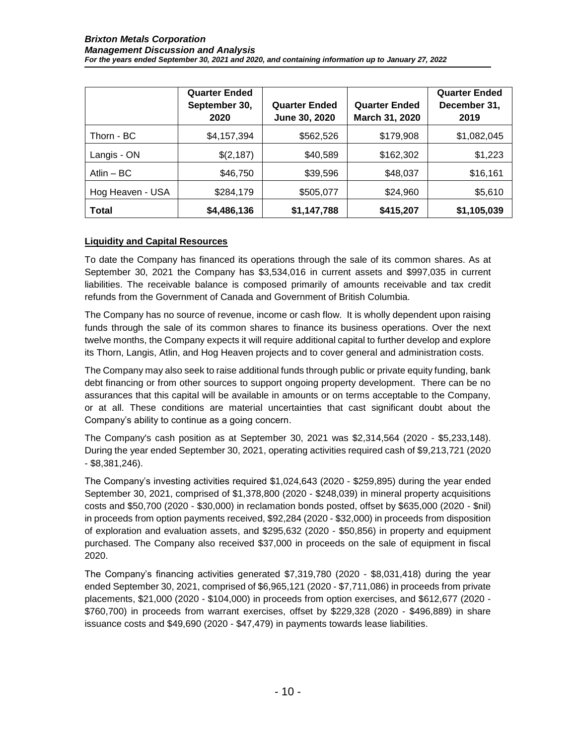|                  | <b>Quarter Ended</b><br>September 30,<br>2020 | <b>Quarter Ended</b><br>June 30, 2020 | <b>Quarter Ended</b><br>March 31, 2020 | <b>Quarter Ended</b><br>December 31,<br>2019 |
|------------------|-----------------------------------------------|---------------------------------------|----------------------------------------|----------------------------------------------|
| Thorn - BC       | \$4,157,394                                   | \$562,526                             | \$179,908                              | \$1,082,045                                  |
| Langis - ON      | \$(2,187)                                     | \$40,589                              | \$162,302                              | \$1,223                                      |
| Atlin $-$ BC     | \$46,750                                      | \$39,596                              | \$48,037                               | \$16,161                                     |
| Hog Heaven - USA | \$284,179                                     | \$505,077                             | \$24,960                               | \$5,610                                      |
| <b>Total</b>     | \$4,486,136                                   | \$1,147,788                           | \$415,207                              | \$1,105,039                                  |

### **Liquidity and Capital Resources**

To date the Company has financed its operations through the sale of its common shares. As at September 30, 2021 the Company has \$3,534,016 in current assets and \$997,035 in current liabilities. The receivable balance is composed primarily of amounts receivable and tax credit refunds from the Government of Canada and Government of British Columbia.

The Company has no source of revenue, income or cash flow. It is wholly dependent upon raising funds through the sale of its common shares to finance its business operations. Over the next twelve months, the Company expects it will require additional capital to further develop and explore its Thorn, Langis, Atlin, and Hog Heaven projects and to cover general and administration costs.

The Company may also seek to raise additional funds through public or private equity funding, bank debt financing or from other sources to support ongoing property development. There can be no assurances that this capital will be available in amounts or on terms acceptable to the Company, or at all. These conditions are material uncertainties that cast significant doubt about the Company's ability to continue as a going concern.

The Company's cash position as at September 30, 2021 was \$2,314,564 (2020 - \$5,233,148). During the year ended September 30, 2021, operating activities required cash of \$9,213,721 (2020 - \$8,381,246).

The Company's investing activities required \$1,024,643 (2020 - \$259,895) during the year ended September 30, 2021, comprised of \$1,378,800 (2020 - \$248,039) in mineral property acquisitions costs and \$50,700 (2020 - \$30,000) in reclamation bonds posted, offset by \$635,000 (2020 - \$nil) in proceeds from option payments received, \$92,284 (2020 - \$32,000) in proceeds from disposition of exploration and evaluation assets, and \$295,632 (2020 - \$50,856) in property and equipment purchased. The Company also received \$37,000 in proceeds on the sale of equipment in fiscal 2020.

The Company's financing activities generated \$7,319,780 (2020 - \$8,031,418) during the year ended September 30, 2021, comprised of \$6,965,121 (2020 - \$7,711,086) in proceeds from private placements, \$21,000 (2020 - \$104,000) in proceeds from option exercises, and \$612,677 (2020 - \$760,700) in proceeds from warrant exercises, offset by \$229,328 (2020 - \$496,889) in share issuance costs and \$49,690 (2020 - \$47,479) in payments towards lease liabilities.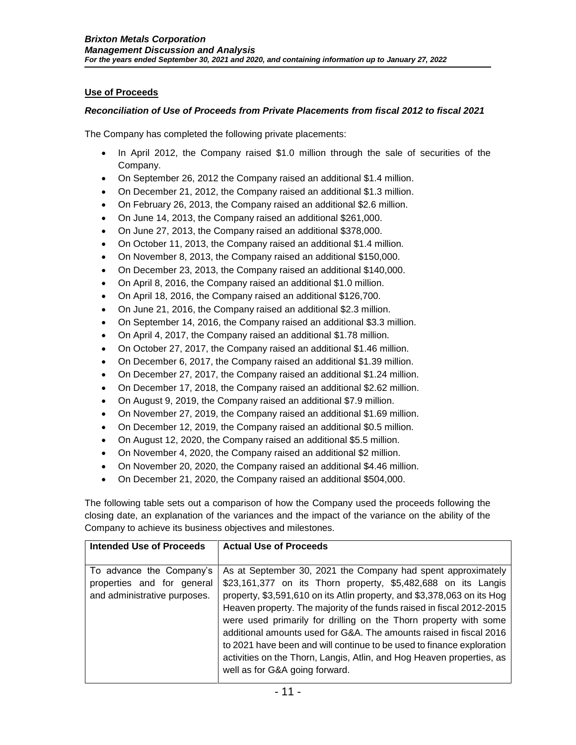## **Use of Proceeds**

#### *Reconciliation of Use of Proceeds from Private Placements from fiscal 2012 to fiscal 2021*

The Company has completed the following private placements:

- In April 2012, the Company raised \$1.0 million through the sale of securities of the Company.
- On September 26, 2012 the Company raised an additional \$1.4 million.
- On December 21, 2012, the Company raised an additional \$1.3 million.
- On February 26, 2013, the Company raised an additional \$2.6 million.
- On June 14, 2013, the Company raised an additional \$261,000.
- On June 27, 2013, the Company raised an additional \$378,000.
- On October 11, 2013, the Company raised an additional \$1.4 million.
- On November 8, 2013, the Company raised an additional \$150,000.
- On December 23, 2013, the Company raised an additional \$140,000.
- On April 8, 2016, the Company raised an additional \$1.0 million.
- On April 18, 2016, the Company raised an additional \$126,700.
- On June 21, 2016, the Company raised an additional \$2.3 million.
- On September 14, 2016, the Company raised an additional \$3.3 million.
- On April 4, 2017, the Company raised an additional \$1.78 million.
- On October 27, 2017, the Company raised an additional \$1.46 million.
- On December 6, 2017, the Company raised an additional \$1.39 million.
- On December 27, 2017, the Company raised an additional \$1.24 million.
- On December 17, 2018, the Company raised an additional \$2.62 million.
- On August 9, 2019, the Company raised an additional \$7.9 million.
- On November 27, 2019, the Company raised an additional \$1.69 million.
- On December 12, 2019, the Company raised an additional \$0.5 million.
- On August 12, 2020, the Company raised an additional \$5.5 million.
- On November 4, 2020, the Company raised an additional \$2 million.
- On November 20, 2020, the Company raised an additional \$4.46 million.
- On December 21, 2020, the Company raised an additional \$504,000.

The following table sets out a comparison of how the Company used the proceeds following the closing date, an explanation of the variances and the impact of the variance on the ability of the Company to achieve its business objectives and milestones.

| <b>Intended Use of Proceeds</b>                                                        | <b>Actual Use of Proceeds</b>                                                                                                                                                                                                                                                                                                                                                                                                                                                                                                                                                                                   |
|----------------------------------------------------------------------------------------|-----------------------------------------------------------------------------------------------------------------------------------------------------------------------------------------------------------------------------------------------------------------------------------------------------------------------------------------------------------------------------------------------------------------------------------------------------------------------------------------------------------------------------------------------------------------------------------------------------------------|
| To advance the Company's<br>properties and for general<br>and administrative purposes. | As at September 30, 2021 the Company had spent approximately<br>\$23,161,377 on its Thorn property, \$5,482,688 on its Langis<br>property, \$3,591,610 on its Atlin property, and \$3,378,063 on its Hog<br>Heaven property. The majority of the funds raised in fiscal 2012-2015<br>were used primarily for drilling on the Thorn property with some<br>additional amounts used for G&A. The amounts raised in fiscal 2016<br>to 2021 have been and will continue to be used to finance exploration<br>activities on the Thorn, Langis, Atlin, and Hog Heaven properties, as<br>well as for G&A going forward. |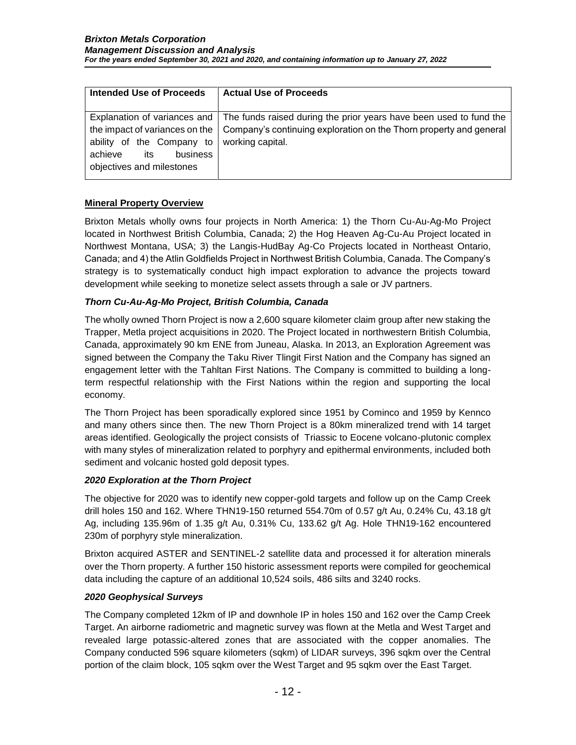| Intended Use of Proceeds       | <b>Actual Use of Proceeds</b>                                      |
|--------------------------------|--------------------------------------------------------------------|
|                                |                                                                    |
| Explanation of variances and   | The funds raised during the prior years have been used to fund the |
| the impact of variances on the | Company's continuing exploration on the Thorn property and general |
| ability of the Company to      | working capital.                                                   |
| achieve<br>business<br>its     |                                                                    |
| objectives and milestones      |                                                                    |
|                                |                                                                    |

### **Mineral Property Overview**

Brixton Metals wholly owns four projects in North America: 1) the Thorn Cu-Au-Ag-Mo Project located in Northwest British Columbia, Canada; 2) the Hog Heaven Ag-Cu-Au Project located in Northwest Montana, USA; 3) the Langis-HudBay Ag-Co Projects located in Northeast Ontario, Canada; and 4) the Atlin Goldfields Project in Northwest British Columbia, Canada. The Company's strategy is to systematically conduct high impact exploration to advance the projects toward development while seeking to monetize select assets through a sale or JV partners.

### *Thorn Cu-Au-Ag-Mo Project, British Columbia, Canada*

The wholly owned Thorn Project is now a 2,600 square kilometer claim group after new staking the Trapper, Metla project acquisitions in 2020. The Project located in northwestern British Columbia, Canada, approximately 90 km ENE from Juneau, Alaska. In 2013, an Exploration Agreement was signed between the Company the Taku River Tlingit First Nation and the Company has signed an engagement letter with the Tahltan First Nations. The Company is committed to building a longterm respectful relationship with the First Nations within the region and supporting the local economy.

The Thorn Project has been sporadically explored since 1951 by Cominco and 1959 by Kennco and many others since then. The new Thorn Project is a 80km mineralized trend with 14 target areas identified. Geologically the project consists of Triassic to Eocene volcano-plutonic complex with many styles of mineralization related to porphyry and epithermal environments, included both sediment and volcanic hosted gold deposit types.

#### *2020 Exploration at the Thorn Project*

The objective for 2020 was to identify new copper-gold targets and follow up on the Camp Creek drill holes 150 and 162. Where THN19-150 returned 554.70m of 0.57 g/t Au, 0.24% Cu, 43.18 g/t Ag, including 135.96m of 1.35 g/t Au, 0.31% Cu, 133.62 g/t Ag. Hole THN19-162 encountered 230m of porphyry style mineralization.

Brixton acquired ASTER and SENTINEL-2 satellite data and processed it for alteration minerals over the Thorn property. A further 150 historic assessment reports were compiled for geochemical data including the capture of an additional 10,524 soils, 486 silts and 3240 rocks.

#### *2020 Geophysical Surveys*

The Company completed 12km of IP and downhole IP in holes 150 and 162 over the Camp Creek Target. An airborne radiometric and magnetic survey was flown at the Metla and West Target and revealed large potassic-altered zones that are associated with the copper anomalies. The Company conducted 596 square kilometers (sqkm) of LIDAR surveys, 396 sqkm over the Central portion of the claim block, 105 sqkm over the West Target and 95 sqkm over the East Target.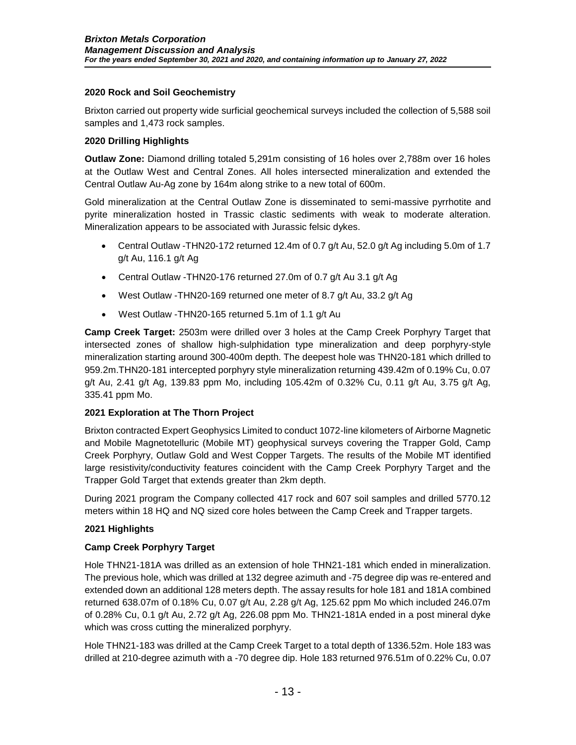## **2020 Rock and Soil Geochemistry**

Brixton carried out property wide surficial geochemical surveys included the collection of 5,588 soil samples and 1,473 rock samples.

## **2020 Drilling Highlights**

**Outlaw Zone:** Diamond drilling totaled 5,291m consisting of 16 holes over 2,788m over 16 holes at the Outlaw West and Central Zones. All holes intersected mineralization and extended the Central Outlaw Au-Ag zone by 164m along strike to a new total of 600m.

Gold mineralization at the Central Outlaw Zone is disseminated to semi-massive pyrrhotite and pyrite mineralization hosted in Trassic clastic sediments with weak to moderate alteration. Mineralization appears to be associated with Jurassic felsic dykes.

- Central Outlaw -THN20-172 returned 12.4m of 0.7 g/t Au, 52.0 g/t Ag including 5.0m of 1.7 g/t Au, 116.1 g/t Ag
- Central Outlaw -THN20-176 returned 27.0m of 0.7 g/t Au 3.1 g/t Ag
- West Outlaw -THN20-169 returned one meter of 8.7 g/t Au, 33.2 g/t Ag
- West Outlaw -THN20-165 returned 5.1m of 1.1 g/t Au

**Camp Creek Target:** 2503m were drilled over 3 holes at the Camp Creek Porphyry Target that intersected zones of shallow high-sulphidation type mineralization and deep porphyry-style mineralization starting around 300-400m depth. The deepest hole was THN20-181 which drilled to 959.2m.THN20-181 intercepted porphyry style mineralization returning 439.42m of 0.19% Cu, 0.07 g/t Au, 2.41 g/t Ag, 139.83 ppm Mo, including 105.42m of 0.32% Cu, 0.11 g/t Au, 3.75 g/t Ag, 335.41 ppm Mo.

### **2021 Exploration at The Thorn Project**

Brixton contracted Expert Geophysics Limited to conduct 1072-line kilometers of Airborne Magnetic and Mobile Magnetotelluric (Mobile MT) geophysical surveys covering the Trapper Gold, Camp Creek Porphyry, Outlaw Gold and West Copper Targets. The results of the Mobile MT identified large resistivity/conductivity features coincident with the Camp Creek Porphyry Target and the Trapper Gold Target that extends greater than 2km depth.

During 2021 program the Company collected 417 rock and 607 soil samples and drilled 5770.12 meters within 18 HQ and NQ sized core holes between the Camp Creek and Trapper targets.

### **2021 Highlights**

### **Camp Creek Porphyry Target**

Hole THN21-181A was drilled as an extension of hole THN21-181 which ended in mineralization. The previous hole, which was drilled at 132 degree azimuth and -75 degree dip was re-entered and extended down an additional 128 meters depth. The assay results for hole 181 and 181A combined returned 638.07m of 0.18% Cu, 0.07 g/t Au, 2.28 g/t Ag, 125.62 ppm Mo which included 246.07m of 0.28% Cu, 0.1 g/t Au, 2.72 g/t Ag, 226.08 ppm Mo. THN21-181A ended in a post mineral dyke which was cross cutting the mineralized porphyry.

Hole THN21-183 was drilled at the Camp Creek Target to a total depth of 1336.52m. Hole 183 was drilled at 210-degree azimuth with a -70 degree dip. Hole 183 returned 976.51m of 0.22% Cu, 0.07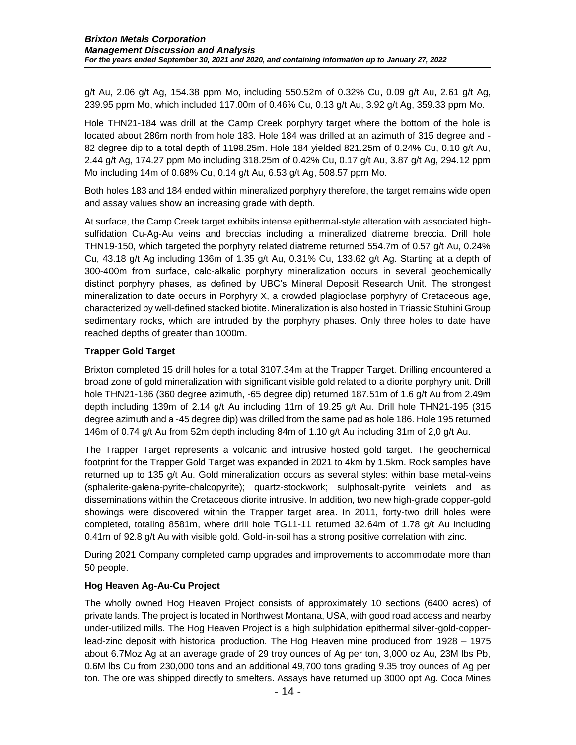g/t Au, 2.06 g/t Ag, 154.38 ppm Mo, including 550.52m of 0.32% Cu, 0.09 g/t Au, 2.61 g/t Ag, 239.95 ppm Mo, which included 117.00m of 0.46% Cu, 0.13 g/t Au, 3.92 g/t Ag, 359.33 ppm Mo.

Hole THN21-184 was drill at the Camp Creek porphyry target where the bottom of the hole is located about 286m north from hole 183. Hole 184 was drilled at an azimuth of 315 degree and - 82 degree dip to a total depth of 1198.25m. Hole 184 yielded 821.25m of 0.24% Cu, 0.10 g/t Au, 2.44 g/t Ag, 174.27 ppm Mo including 318.25m of 0.42% Cu, 0.17 g/t Au, 3.87 g/t Ag, 294.12 ppm Mo including 14m of 0.68% Cu, 0.14 g/t Au, 6.53 g/t Ag, 508.57 ppm Mo.

Both holes 183 and 184 ended within mineralized porphyry therefore, the target remains wide open and assay values show an increasing grade with depth.

At surface, the Camp Creek target exhibits intense epithermal-style alteration with associated highsulfidation Cu-Ag-Au veins and breccias including a mineralized diatreme breccia. Drill hole THN19-150, which targeted the porphyry related diatreme returned 554.7m of 0.57 g/t Au, 0.24% Cu, 43.18 g/t Ag including 136m of 1.35 g/t Au, 0.31% Cu, 133.62 g/t Ag. Starting at a depth of 300-400m from surface, calc-alkalic porphyry mineralization occurs in several geochemically distinct porphyry phases, as defined by UBC's Mineral Deposit Research Unit. The strongest mineralization to date occurs in Porphyry X, a crowded plagioclase porphyry of Cretaceous age, characterized by well-defined stacked biotite. Mineralization is also hosted in Triassic Stuhini Group sedimentary rocks, which are intruded by the porphyry phases. Only three holes to date have reached depths of greater than 1000m.

### **Trapper Gold Target**

Brixton completed 15 drill holes for a total 3107.34m at the Trapper Target. Drilling encountered a broad zone of gold mineralization with significant visible gold related to a diorite porphyry unit. Drill hole THN21-186 (360 degree azimuth, -65 degree dip) returned 187.51m of 1.6 g/t Au from 2.49m depth including 139m of 2.14 g/t Au including 11m of 19.25 g/t Au. Drill hole THN21-195 (315 degree azimuth and a -45 degree dip) was drilled from the same pad as hole 186. Hole 195 returned 146m of 0.74 g/t Au from 52m depth including 84m of 1.10 g/t Au including 31m of 2,0 g/t Au.

The Trapper Target represents a volcanic and intrusive hosted gold target. The geochemical footprint for the Trapper Gold Target was expanded in 2021 to 4km by 1.5km. Rock samples have returned up to 135 g/t Au. Gold mineralization occurs as several styles: within base metal-veins (sphalerite-galena-pyrite-chalcopyrite); quartz-stockwork; sulphosalt-pyrite veinlets and as disseminations within the Cretaceous diorite intrusive. In addition, two new high-grade copper-gold showings were discovered within the Trapper target area. In 2011, forty-two drill holes were completed, totaling 8581m, where drill hole TG11-11 returned 32.64m of 1.78 g/t Au including 0.41m of 92.8 g/t Au with visible gold. Gold-in-soil has a strong positive correlation with zinc.

During 2021 Company completed camp upgrades and improvements to accommodate more than 50 people.

### **Hog Heaven Ag-Au-Cu Project**

The wholly owned Hog Heaven Project consists of approximately 10 sections (6400 acres) of private lands. The project is located in Northwest Montana, USA, with good road access and nearby under-utilized mills. The Hog Heaven Project is a high sulphidation epithermal silver-gold-copperlead-zinc deposit with historical production. The Hog Heaven mine produced from 1928 – 1975 about 6.7Moz Ag at an average grade of 29 troy ounces of Ag per ton, 3,000 oz Au, 23M lbs Pb, 0.6M lbs Cu from 230,000 tons and an additional 49,700 tons grading 9.35 troy ounces of Ag per ton. The ore was shipped directly to smelters. Assays have returned up 3000 opt Ag. Coca Mines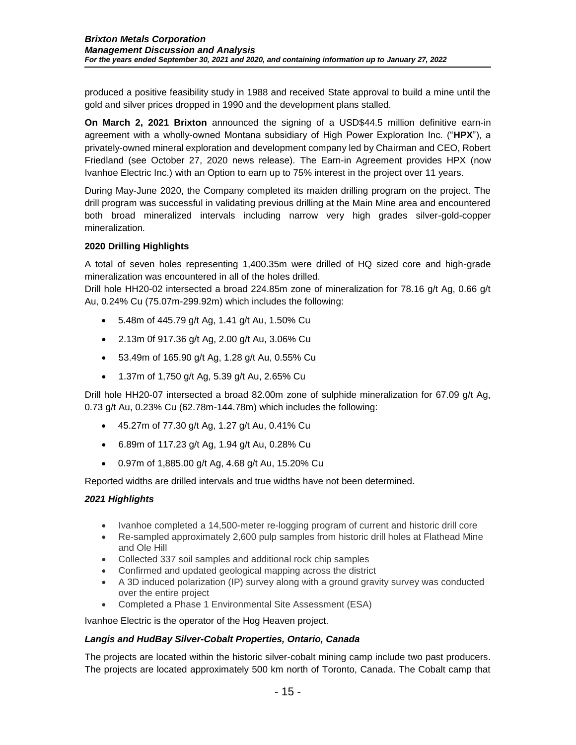produced a positive feasibility study in 1988 and received State approval to build a mine until the gold and silver prices dropped in 1990 and the development plans stalled.

**On March 2, 2021 Brixton** announced the signing of a USD\$44.5 million definitive earn-in agreement with a wholly-owned Montana subsidiary of High Power Exploration Inc. ("**HPX**"), a privately-owned mineral exploration and development company led by Chairman and CEO, Robert Friedland (see October 27, 2020 news release). The Earn-in Agreement provides HPX (now Ivanhoe Electric Inc.) with an Option to earn up to 75% interest in the project over 11 years.

During May-June 2020, the Company completed its maiden drilling program on the project. The drill program was successful in validating previous drilling at the Main Mine area and encountered both broad mineralized intervals including narrow very high grades silver-gold-copper mineralization.

### **2020 Drilling Highlights**

A total of seven holes representing 1,400.35m were drilled of HQ sized core and high-grade mineralization was encountered in all of the holes drilled.

Drill hole HH20-02 intersected a broad 224.85m zone of mineralization for 78.16 g/t Ag, 0.66 g/t Au, 0.24% Cu (75.07m-299.92m) which includes the following:

- 5.48m of 445.79 g/t Ag, 1.41 g/t Au, 1.50% Cu
- 2.13m 0f 917.36 g/t Ag, 2.00 g/t Au, 3.06% Cu
- 53.49m of 165.90 g/t Ag, 1.28 g/t Au, 0.55% Cu
- 1.37m of 1,750 g/t Ag, 5.39 g/t Au, 2.65% Cu

Drill hole HH20-07 intersected a broad 82.00m zone of sulphide mineralization for 67.09 g/t Ag, 0.73 g/t Au, 0.23% Cu (62.78m-144.78m) which includes the following:

- 45.27m of 77.30 g/t Ag, 1.27 g/t Au, 0.41% Cu
- 6.89m of 117.23 g/t Ag, 1.94 g/t Au, 0.28% Cu
- 0.97m of 1,885.00 g/t Ag, 4.68 g/t Au, 15.20% Cu

Reported widths are drilled intervals and true widths have not been determined.

### *2021 Highlights*

- Ivanhoe completed a 14,500-meter re-logging program of current and historic drill core
- Re-sampled approximately 2,600 pulp samples from historic drill holes at Flathead Mine and Ole Hill
- Collected 337 soil samples and additional rock chip samples
- Confirmed and updated geological mapping across the district
- A 3D induced polarization (IP) survey along with a ground gravity survey was conducted over the entire project
- Completed a Phase 1 Environmental Site Assessment (ESA)

Ivanhoe Electric is the operator of the Hog Heaven project.

### *Langis and HudBay Silver-Cobalt Properties, Ontario, Canada*

The projects are located within the historic silver-cobalt mining camp include two past producers. The projects are located approximately 500 km north of Toronto, Canada. The Cobalt camp that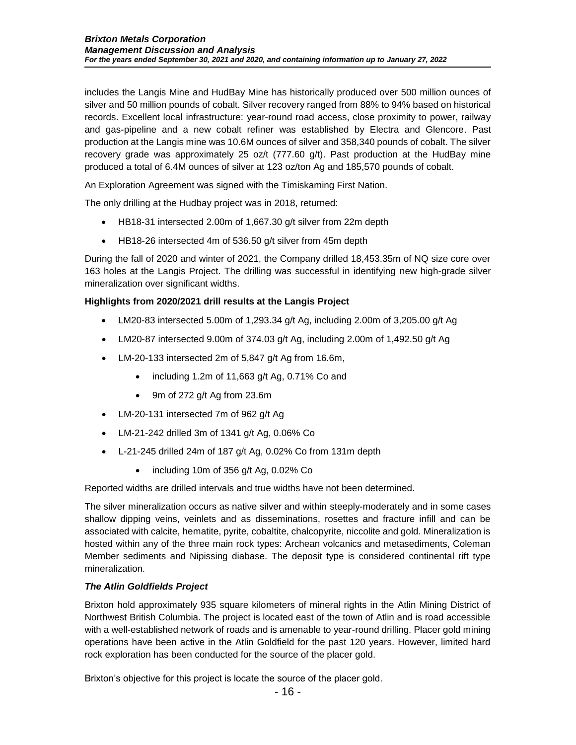includes the Langis Mine and HudBay Mine has historically produced over 500 million ounces of silver and 50 million pounds of cobalt. Silver recovery ranged from 88% to 94% based on historical records. Excellent local infrastructure: year-round road access, close proximity to power, railway and gas-pipeline and a new cobalt refiner was established by Electra and Glencore. Past production at the Langis mine was 10.6M ounces of silver and 358,340 pounds of cobalt. The silver recovery grade was approximately 25 oz/t (777.60 g/t). Past production at the HudBay mine produced a total of 6.4M ounces of silver at 123 oz/ton Ag and 185,570 pounds of cobalt.

An Exploration Agreement was signed with the Timiskaming First Nation.

The only drilling at the Hudbay project was in 2018, returned:

- HB18-31 intersected 2.00m of 1,667.30 g/t silver from 22m depth
- HB18-26 intersected 4m of 536.50 g/t silver from 45m depth

During the fall of 2020 and winter of 2021, the Company drilled 18,453.35m of NQ size core over 163 holes at the Langis Project. The drilling was successful in identifying new high-grade silver mineralization over significant widths.

## **Highlights from 2020/2021 drill results at the Langis Project**

- LM20-83 intersected 5.00m of 1,293.34 g/t Ag, including 2.00m of 3,205.00 g/t Ag
- LM20-87 intersected 9.00m of 374.03 g/t Ag, including 2.00m of 1,492.50 g/t Ag
- LM-20-133 intersected 2m of 5,847 g/t Ag from 16.6m,
	- $\bullet$  including 1.2m of 11,663 g/t Ag, 0.71% Co and
	- 9m of 272 g/t Ag from 23.6m
- LM-20-131 intersected 7m of 962 g/t Ag
- LM-21-242 drilled 3m of 1341 g/t Ag, 0.06% Co
- L-21-245 drilled 24m of 187 g/t Ag, 0.02% Co from 131m depth
	- including 10m of 356 g/t Ag, 0.02% Co

Reported widths are drilled intervals and true widths have not been determined.

The silver mineralization occurs as native silver and within steeply-moderately and in some cases shallow dipping veins, veinlets and as disseminations, rosettes and fracture infill and can be associated with calcite, hematite, pyrite, cobaltite, chalcopyrite, niccolite and gold. Mineralization is hosted within any of the three main rock types: Archean volcanics and metasediments, Coleman Member sediments and Nipissing diabase. The deposit type is considered continental rift type mineralization.

### *The Atlin Goldfields Project*

Brixton hold approximately 935 square kilometers of mineral rights in the Atlin Mining District of Northwest British Columbia. The project is located east of the town of Atlin and is road accessible with a well-established network of roads and is amenable to year-round drilling. Placer gold mining operations have been active in the Atlin Goldfield for the past 120 years. However, limited hard rock exploration has been conducted for the source of the placer gold.

Brixton's objective for this project is locate the source of the placer gold.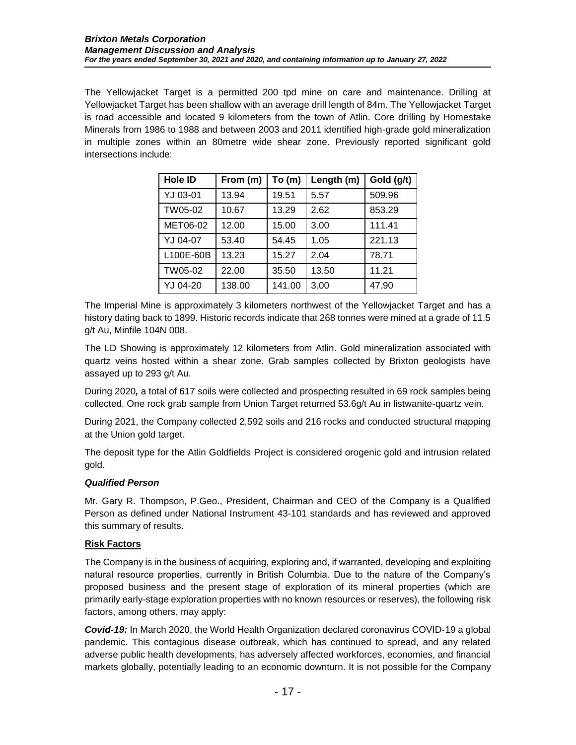The Yellowjacket Target is a permitted 200 tpd mine on care and maintenance. Drilling at Yellowjacket Target has been shallow with an average drill length of 84m. The Yellowjacket Target is road accessible and located 9 kilometers from the town of Atlin. Core drilling by Homestake Minerals from 1986 to 1988 and between 2003 and 2011 identified high-grade gold mineralization in multiple zones within an 80metre wide shear zone. Previously reported significant gold intersections include:

| Hole ID   | From (m) | To(m)  | Length (m) | Gold (g/t) |
|-----------|----------|--------|------------|------------|
| YJ 03-01  | 13.94    | 19.51  | 5.57       | 509.96     |
| TW05-02   | 10.67    | 13.29  | 2.62       | 853.29     |
| MET06-02  | 12.00    | 15.00  | 3.00       | 111.41     |
| YJ 04-07  | 53.40    | 54.45  | 1.05       | 221.13     |
| L100E-60B | 13.23    | 15.27  | 2.04       | 78.71      |
| TW05-02   | 22.00    | 35.50  | 13.50      | 11.21      |
| YJ 04-20  | 138.00   | 141.00 | 3.00       | 47.90      |

The Imperial Mine is approximately 3 kilometers northwest of the Yellowjacket Target and has a history dating back to 1899. Historic records indicate that 268 tonnes were mined at a grade of 11.5 g/t Au, Minfile 104N 008.

The LD Showing is approximately 12 kilometers from Atlin. Gold mineralization associated with quartz veins hosted within a shear zone. Grab samples collected by Brixton geologists have assayed up to 293 g/t Au.

During 2020*,* a total of 617 soils were collected and prospecting resulted in 69 rock samples being collected. One rock grab sample from Union Target returned 53.6g/t Au in listwanite-quartz vein.

During 2021, the Company collected 2,592 soils and 216 rocks and conducted structural mapping at the Union gold target.

The deposit type for the Atlin Goldfields Project is considered orogenic gold and intrusion related gold.

## *Qualified Person*

Mr. Gary R. Thompson, P.Geo., President, Chairman and CEO of the Company is a Qualified Person as defined under National Instrument 43-101 standards and has reviewed and approved this summary of results.

### **Risk Factors**

The Company is in the business of acquiring, exploring and, if warranted, developing and exploiting natural resource properties, currently in British Columbia. Due to the nature of the Company's proposed business and the present stage of exploration of its mineral properties (which are primarily early-stage exploration properties with no known resources or reserves), the following risk factors, among others, may apply:

*Covid-19:* In March 2020, the World Health Organization declared coronavirus COVID-19 a global pandemic. This contagious disease outbreak, which has continued to spread, and any related adverse public health developments, has adversely affected workforces, economies, and financial markets globally, potentially leading to an economic downturn. It is not possible for the Company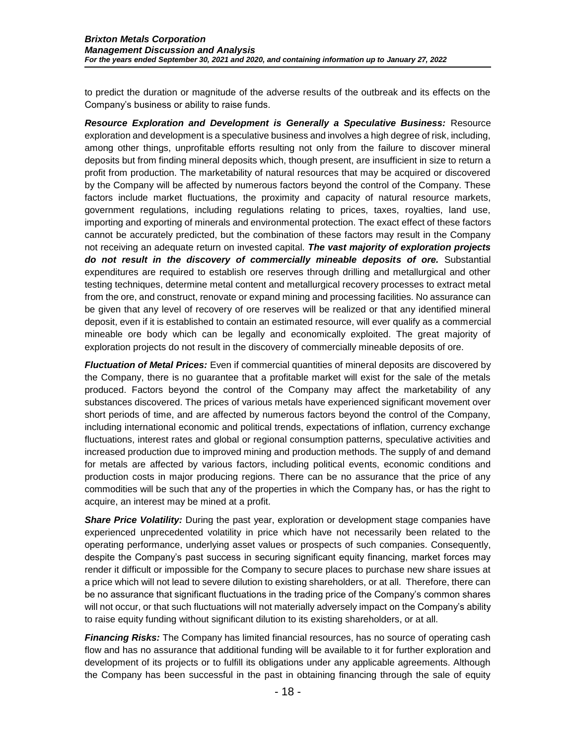to predict the duration or magnitude of the adverse results of the outbreak and its effects on the Company's business or ability to raise funds.

*Resource Exploration and Development is Generally a Speculative Business:* Resource exploration and development is a speculative business and involves a high degree of risk, including, among other things, unprofitable efforts resulting not only from the failure to discover mineral deposits but from finding mineral deposits which, though present, are insufficient in size to return a profit from production. The marketability of natural resources that may be acquired or discovered by the Company will be affected by numerous factors beyond the control of the Company. These factors include market fluctuations, the proximity and capacity of natural resource markets, government regulations, including regulations relating to prices, taxes, royalties, land use, importing and exporting of minerals and environmental protection. The exact effect of these factors cannot be accurately predicted, but the combination of these factors may result in the Company not receiving an adequate return on invested capital. *The vast majority of exploration projects do not result in the discovery of commercially mineable deposits of ore.* Substantial expenditures are required to establish ore reserves through drilling and metallurgical and other testing techniques, determine metal content and metallurgical recovery processes to extract metal from the ore, and construct, renovate or expand mining and processing facilities. No assurance can be given that any level of recovery of ore reserves will be realized or that any identified mineral deposit, even if it is established to contain an estimated resource, will ever qualify as a commercial mineable ore body which can be legally and economically exploited. The great majority of exploration projects do not result in the discovery of commercially mineable deposits of ore.

*Fluctuation of Metal Prices:* Even if commercial quantities of mineral deposits are discovered by the Company, there is no guarantee that a profitable market will exist for the sale of the metals produced. Factors beyond the control of the Company may affect the marketability of any substances discovered. The prices of various metals have experienced significant movement over short periods of time, and are affected by numerous factors beyond the control of the Company, including international economic and political trends, expectations of inflation, currency exchange fluctuations, interest rates and global or regional consumption patterns, speculative activities and increased production due to improved mining and production methods. The supply of and demand for metals are affected by various factors, including political events, economic conditions and production costs in major producing regions. There can be no assurance that the price of any commodities will be such that any of the properties in which the Company has, or has the right to acquire, an interest may be mined at a profit.

**Share Price Volatility:** During the past year, exploration or development stage companies have experienced unprecedented volatility in price which have not necessarily been related to the operating performance, underlying asset values or prospects of such companies. Consequently, despite the Company's past success in securing significant equity financing, market forces may render it difficult or impossible for the Company to secure places to purchase new share issues at a price which will not lead to severe dilution to existing shareholders, or at all. Therefore, there can be no assurance that significant fluctuations in the trading price of the Company's common shares will not occur, or that such fluctuations will not materially adversely impact on the Company's ability to raise equity funding without significant dilution to its existing shareholders, or at all.

*Financing Risks:* The Company has limited financial resources, has no source of operating cash flow and has no assurance that additional funding will be available to it for further exploration and development of its projects or to fulfill its obligations under any applicable agreements. Although the Company has been successful in the past in obtaining financing through the sale of equity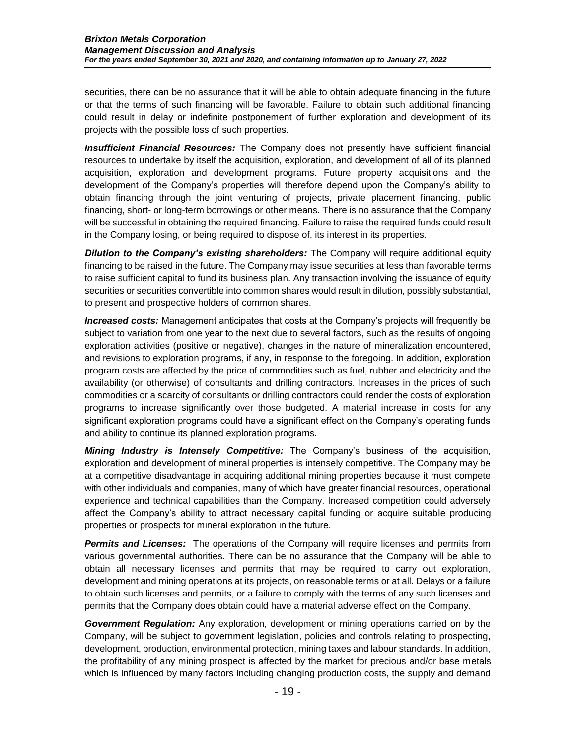securities, there can be no assurance that it will be able to obtain adequate financing in the future or that the terms of such financing will be favorable. Failure to obtain such additional financing could result in delay or indefinite postponement of further exploration and development of its projects with the possible loss of such properties.

*Insufficient Financial Resources:* The Company does not presently have sufficient financial resources to undertake by itself the acquisition, exploration, and development of all of its planned acquisition, exploration and development programs. Future property acquisitions and the development of the Company's properties will therefore depend upon the Company's ability to obtain financing through the joint venturing of projects, private placement financing, public financing, short- or long-term borrowings or other means. There is no assurance that the Company will be successful in obtaining the required financing. Failure to raise the required funds could result in the Company losing, or being required to dispose of, its interest in its properties.

**Dilution to the Company's existing shareholders:** The Company will require additional equity financing to be raised in the future. The Company may issue securities at less than favorable terms to raise sufficient capital to fund its business plan. Any transaction involving the issuance of equity securities or securities convertible into common shares would result in dilution, possibly substantial, to present and prospective holders of common shares.

*Increased costs:* Management anticipates that costs at the Company's projects will frequently be subject to variation from one year to the next due to several factors, such as the results of ongoing exploration activities (positive or negative), changes in the nature of mineralization encountered, and revisions to exploration programs, if any, in response to the foregoing. In addition, exploration program costs are affected by the price of commodities such as fuel, rubber and electricity and the availability (or otherwise) of consultants and drilling contractors. Increases in the prices of such commodities or a scarcity of consultants or drilling contractors could render the costs of exploration programs to increase significantly over those budgeted. A material increase in costs for any significant exploration programs could have a significant effect on the Company's operating funds and ability to continue its planned exploration programs.

*Mining Industry is Intensely Competitive:* The Company's business of the acquisition, exploration and development of mineral properties is intensely competitive. The Company may be at a competitive disadvantage in acquiring additional mining properties because it must compete with other individuals and companies, many of which have greater financial resources, operational experience and technical capabilities than the Company. Increased competition could adversely affect the Company's ability to attract necessary capital funding or acquire suitable producing properties or prospects for mineral exploration in the future.

**Permits and Licenses:** The operations of the Company will require licenses and permits from various governmental authorities. There can be no assurance that the Company will be able to obtain all necessary licenses and permits that may be required to carry out exploration, development and mining operations at its projects, on reasonable terms or at all. Delays or a failure to obtain such licenses and permits, or a failure to comply with the terms of any such licenses and permits that the Company does obtain could have a material adverse effect on the Company.

*Government Regulation:* Any exploration, development or mining operations carried on by the Company, will be subject to government legislation, policies and controls relating to prospecting, development, production, environmental protection, mining taxes and labour standards. In addition, the profitability of any mining prospect is affected by the market for precious and/or base metals which is influenced by many factors including changing production costs, the supply and demand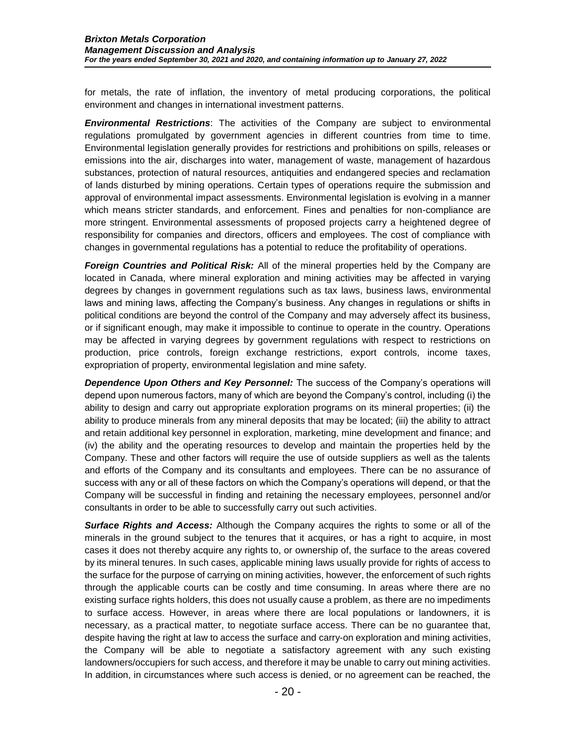for metals, the rate of inflation, the inventory of metal producing corporations, the political environment and changes in international investment patterns.

*Environmental Restrictions*: The activities of the Company are subject to environmental regulations promulgated by government agencies in different countries from time to time. Environmental legislation generally provides for restrictions and prohibitions on spills, releases or emissions into the air, discharges into water, management of waste, management of hazardous substances, protection of natural resources, antiquities and endangered species and reclamation of lands disturbed by mining operations. Certain types of operations require the submission and approval of environmental impact assessments. Environmental legislation is evolving in a manner which means stricter standards, and enforcement. Fines and penalties for non-compliance are more stringent. Environmental assessments of proposed projects carry a heightened degree of responsibility for companies and directors, officers and employees. The cost of compliance with changes in governmental regulations has a potential to reduce the profitability of operations.

*Foreign Countries and Political Risk:* All of the mineral properties held by the Company are located in Canada, where mineral exploration and mining activities may be affected in varying degrees by changes in government regulations such as tax laws, business laws, environmental laws and mining laws, affecting the Company's business. Any changes in regulations or shifts in political conditions are beyond the control of the Company and may adversely affect its business, or if significant enough, may make it impossible to continue to operate in the country. Operations may be affected in varying degrees by government regulations with respect to restrictions on production, price controls, foreign exchange restrictions, export controls, income taxes, expropriation of property, environmental legislation and mine safety.

*Dependence Upon Others and Key Personnel:* The success of the Company's operations will depend upon numerous factors, many of which are beyond the Company's control, including (i) the ability to design and carry out appropriate exploration programs on its mineral properties; (ii) the ability to produce minerals from any mineral deposits that may be located; (iii) the ability to attract and retain additional key personnel in exploration, marketing, mine development and finance; and (iv) the ability and the operating resources to develop and maintain the properties held by the Company. These and other factors will require the use of outside suppliers as well as the talents and efforts of the Company and its consultants and employees. There can be no assurance of success with any or all of these factors on which the Company's operations will depend, or that the Company will be successful in finding and retaining the necessary employees, personnel and/or consultants in order to be able to successfully carry out such activities.

*Surface Rights and Access:* Although the Company acquires the rights to some or all of the minerals in the ground subject to the tenures that it acquires, or has a right to acquire, in most cases it does not thereby acquire any rights to, or ownership of, the surface to the areas covered by its mineral tenures. In such cases, applicable mining laws usually provide for rights of access to the surface for the purpose of carrying on mining activities, however, the enforcement of such rights through the applicable courts can be costly and time consuming. In areas where there are no existing surface rights holders, this does not usually cause a problem, as there are no impediments to surface access. However, in areas where there are local populations or landowners, it is necessary, as a practical matter, to negotiate surface access. There can be no guarantee that, despite having the right at law to access the surface and carry-on exploration and mining activities, the Company will be able to negotiate a satisfactory agreement with any such existing landowners/occupiers for such access, and therefore it may be unable to carry out mining activities. In addition, in circumstances where such access is denied, or no agreement can be reached, the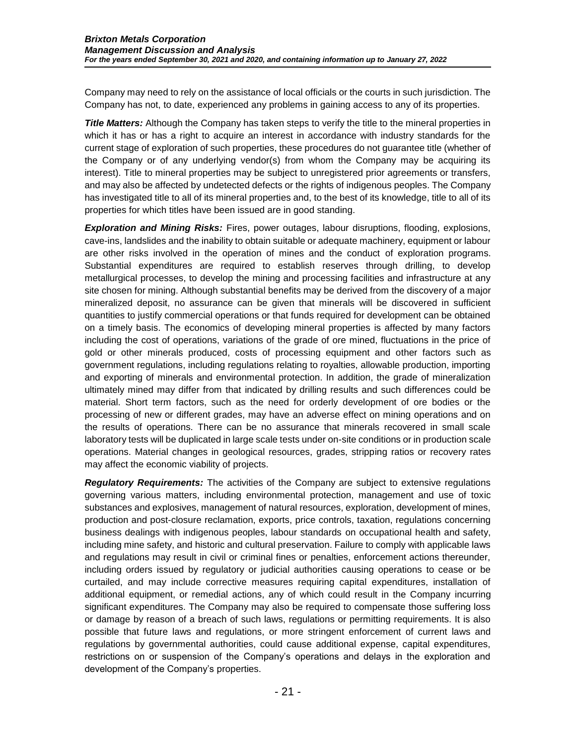Company may need to rely on the assistance of local officials or the courts in such jurisdiction. The Company has not, to date, experienced any problems in gaining access to any of its properties.

**Title Matters:** Although the Company has taken steps to verify the title to the mineral properties in which it has or has a right to acquire an interest in accordance with industry standards for the current stage of exploration of such properties, these procedures do not guarantee title (whether of the Company or of any underlying vendor(s) from whom the Company may be acquiring its interest). Title to mineral properties may be subject to unregistered prior agreements or transfers, and may also be affected by undetected defects or the rights of indigenous peoples. The Company has investigated title to all of its mineral properties and, to the best of its knowledge, title to all of its properties for which titles have been issued are in good standing.

*Exploration and Mining Risks:* Fires, power outages, labour disruptions, flooding, explosions, cave-ins, landslides and the inability to obtain suitable or adequate machinery, equipment or labour are other risks involved in the operation of mines and the conduct of exploration programs. Substantial expenditures are required to establish reserves through drilling, to develop metallurgical processes, to develop the mining and processing facilities and infrastructure at any site chosen for mining. Although substantial benefits may be derived from the discovery of a major mineralized deposit, no assurance can be given that minerals will be discovered in sufficient quantities to justify commercial operations or that funds required for development can be obtained on a timely basis. The economics of developing mineral properties is affected by many factors including the cost of operations, variations of the grade of ore mined, fluctuations in the price of gold or other minerals produced, costs of processing equipment and other factors such as government regulations, including regulations relating to royalties, allowable production, importing and exporting of minerals and environmental protection. In addition, the grade of mineralization ultimately mined may differ from that indicated by drilling results and such differences could be material. Short term factors, such as the need for orderly development of ore bodies or the processing of new or different grades, may have an adverse effect on mining operations and on the results of operations. There can be no assurance that minerals recovered in small scale laboratory tests will be duplicated in large scale tests under on-site conditions or in production scale operations. Material changes in geological resources, grades, stripping ratios or recovery rates may affect the economic viability of projects.

*Regulatory Requirements:* The activities of the Company are subject to extensive regulations governing various matters, including environmental protection, management and use of toxic substances and explosives, management of natural resources, exploration, development of mines, production and post-closure reclamation, exports, price controls, taxation, regulations concerning business dealings with indigenous peoples, labour standards on occupational health and safety, including mine safety, and historic and cultural preservation. Failure to comply with applicable laws and regulations may result in civil or criminal fines or penalties, enforcement actions thereunder, including orders issued by regulatory or judicial authorities causing operations to cease or be curtailed, and may include corrective measures requiring capital expenditures, installation of additional equipment, or remedial actions, any of which could result in the Company incurring significant expenditures. The Company may also be required to compensate those suffering loss or damage by reason of a breach of such laws, regulations or permitting requirements. It is also possible that future laws and regulations, or more stringent enforcement of current laws and regulations by governmental authorities, could cause additional expense, capital expenditures, restrictions on or suspension of the Company's operations and delays in the exploration and development of the Company's properties.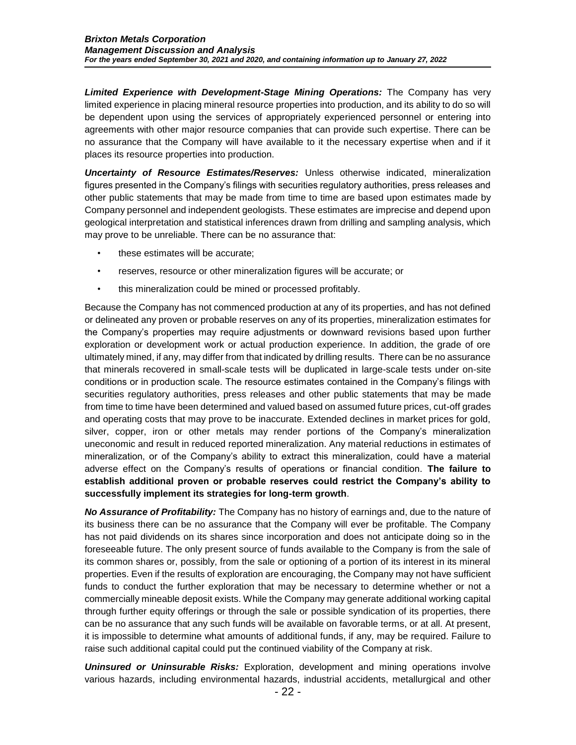*Limited Experience with Development-Stage Mining Operations:* The Company has very limited experience in placing mineral resource properties into production, and its ability to do so will be dependent upon using the services of appropriately experienced personnel or entering into agreements with other major resource companies that can provide such expertise. There can be no assurance that the Company will have available to it the necessary expertise when and if it places its resource properties into production.

*Uncertainty of Resource Estimates/Reserves:* Unless otherwise indicated, mineralization figures presented in the Company's filings with securities regulatory authorities, press releases and other public statements that may be made from time to time are based upon estimates made by Company personnel and independent geologists. These estimates are imprecise and depend upon geological interpretation and statistical inferences drawn from drilling and sampling analysis, which may prove to be unreliable. There can be no assurance that:

- these estimates will be accurate;
- reserves, resource or other mineralization figures will be accurate; or
- this mineralization could be mined or processed profitably.

Because the Company has not commenced production at any of its properties, and has not defined or delineated any proven or probable reserves on any of its properties, mineralization estimates for the Company's properties may require adjustments or downward revisions based upon further exploration or development work or actual production experience. In addition, the grade of ore ultimately mined, if any, may differ from that indicated by drilling results. There can be no assurance that minerals recovered in small-scale tests will be duplicated in large-scale tests under on-site conditions or in production scale. The resource estimates contained in the Company's filings with securities regulatory authorities, press releases and other public statements that may be made from time to time have been determined and valued based on assumed future prices, cut-off grades and operating costs that may prove to be inaccurate. Extended declines in market prices for gold, silver, copper, iron or other metals may render portions of the Company's mineralization uneconomic and result in reduced reported mineralization. Any material reductions in estimates of mineralization, or of the Company's ability to extract this mineralization, could have a material adverse effect on the Company's results of operations or financial condition. **The failure to establish additional proven or probable reserves could restrict the Company's ability to successfully implement its strategies for long-term growth**.

*No Assurance of Profitability:* The Company has no history of earnings and, due to the nature of its business there can be no assurance that the Company will ever be profitable. The Company has not paid dividends on its shares since incorporation and does not anticipate doing so in the foreseeable future. The only present source of funds available to the Company is from the sale of its common shares or, possibly, from the sale or optioning of a portion of its interest in its mineral properties. Even if the results of exploration are encouraging, the Company may not have sufficient funds to conduct the further exploration that may be necessary to determine whether or not a commercially mineable deposit exists. While the Company may generate additional working capital through further equity offerings or through the sale or possible syndication of its properties, there can be no assurance that any such funds will be available on favorable terms, or at all. At present, it is impossible to determine what amounts of additional funds, if any, may be required. Failure to raise such additional capital could put the continued viability of the Company at risk.

*Uninsured or Uninsurable Risks:* Exploration, development and mining operations involve various hazards, including environmental hazards, industrial accidents, metallurgical and other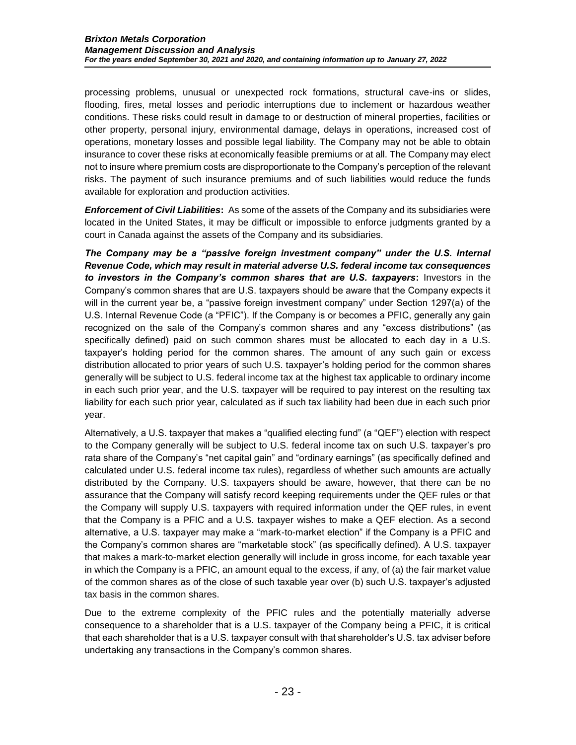processing problems, unusual or unexpected rock formations, structural cave-ins or slides, flooding, fires, metal losses and periodic interruptions due to inclement or hazardous weather conditions. These risks could result in damage to or destruction of mineral properties, facilities or other property, personal injury, environmental damage, delays in operations, increased cost of operations, monetary losses and possible legal liability. The Company may not be able to obtain insurance to cover these risks at economically feasible premiums or at all. The Company may elect not to insure where premium costs are disproportionate to the Company's perception of the relevant risks. The payment of such insurance premiums and of such liabilities would reduce the funds available for exploration and production activities.

*Enforcement of Civil Liabilities***:** As some of the assets of the Company and its subsidiaries were located in the United States, it may be difficult or impossible to enforce judgments granted by a court in Canada against the assets of the Company and its subsidiaries.

*The Company may be a "passive foreign investment company" under the U.S. Internal Revenue Code, which may result in material adverse U.S. federal income tax consequences to investors in the Company's common shares that are U.S. taxpayers***:** Investors in the Company's common shares that are U.S. taxpayers should be aware that the Company expects it will in the current year be, a "passive foreign investment company" under Section 1297(a) of the U.S. Internal Revenue Code (a "PFIC"). If the Company is or becomes a PFIC, generally any gain recognized on the sale of the Company's common shares and any "excess distributions" (as specifically defined) paid on such common shares must be allocated to each day in a U.S. taxpayer's holding period for the common shares. The amount of any such gain or excess distribution allocated to prior years of such U.S. taxpayer's holding period for the common shares generally will be subject to U.S. federal income tax at the highest tax applicable to ordinary income in each such prior year, and the U.S. taxpayer will be required to pay interest on the resulting tax liability for each such prior year, calculated as if such tax liability had been due in each such prior year.

Alternatively, a U.S. taxpayer that makes a "qualified electing fund" (a "QEF") election with respect to the Company generally will be subject to U.S. federal income tax on such U.S. taxpayer's pro rata share of the Company's "net capital gain" and "ordinary earnings" (as specifically defined and calculated under U.S. federal income tax rules), regardless of whether such amounts are actually distributed by the Company. U.S. taxpayers should be aware, however, that there can be no assurance that the Company will satisfy record keeping requirements under the QEF rules or that the Company will supply U.S. taxpayers with required information under the QEF rules, in event that the Company is a PFIC and a U.S. taxpayer wishes to make a QEF election. As a second alternative, a U.S. taxpayer may make a "mark-to-market election" if the Company is a PFIC and the Company's common shares are "marketable stock" (as specifically defined). A U.S. taxpayer that makes a mark-to-market election generally will include in gross income, for each taxable year in which the Company is a PFIC, an amount equal to the excess, if any, of (a) the fair market value of the common shares as of the close of such taxable year over (b) such U.S. taxpayer's adjusted tax basis in the common shares.

Due to the extreme complexity of the PFIC rules and the potentially materially adverse consequence to a shareholder that is a U.S. taxpayer of the Company being a PFIC, it is critical that each shareholder that is a U.S. taxpayer consult with that shareholder's U.S. tax adviser before undertaking any transactions in the Company's common shares.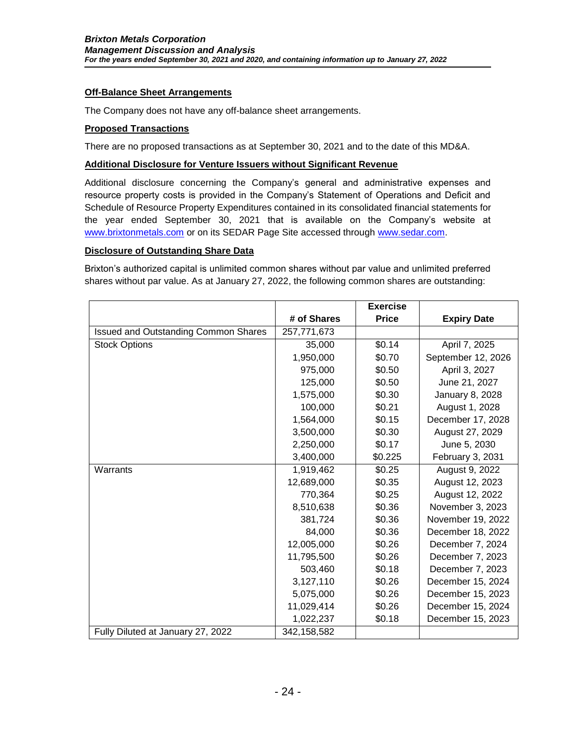### **Off-Balance Sheet Arrangements**

The Company does not have any off-balance sheet arrangements.

#### **Proposed Transactions**

There are no proposed transactions as at September 30, 2021 and to the date of this MD&A.

#### **Additional Disclosure for Venture Issuers without Significant Revenue**

Additional disclosure concerning the Company's general and administrative expenses and resource property costs is provided in the Company's Statement of Operations and Deficit and Schedule of Resource Property Expenditures contained in its consolidated financial statements for the year ended September 30, 2021 that is available on the Company's website at [www.brixtonmetals.com](http://www.brixtonmetals.com/) or on its SEDAR Page Site accessed through [www.sedar.com.](http://www.sedar.com/)

#### **Disclosure of Outstanding Share Data**

Brixton's authorized capital is unlimited common shares without par value and unlimited preferred shares without par value. As at January 27, 2022, the following common shares are outstanding:

|                                             |             | <b>Exercise</b> |                    |
|---------------------------------------------|-------------|-----------------|--------------------|
|                                             | # of Shares | <b>Price</b>    | <b>Expiry Date</b> |
| <b>Issued and Outstanding Common Shares</b> | 257,771,673 |                 |                    |
| <b>Stock Options</b>                        | 35,000      | \$0.14          | April 7, 2025      |
|                                             | 1,950,000   | \$0.70          | September 12, 2026 |
|                                             | 975,000     | \$0.50          | April 3, 2027      |
|                                             | 125,000     | \$0.50          | June 21, 2027      |
|                                             | 1,575,000   | \$0.30          | January 8, 2028    |
|                                             | 100,000     | \$0.21          | August 1, 2028     |
|                                             | 1,564,000   | \$0.15          | December 17, 2028  |
|                                             | 3,500,000   | \$0.30          | August 27, 2029    |
|                                             | 2,250,000   | \$0.17          | June 5, 2030       |
|                                             | 3,400,000   | \$0.225         | February 3, 2031   |
| Warrants                                    | 1,919,462   | \$0.25          | August 9, 2022     |
|                                             | 12,689,000  | \$0.35          | August 12, 2023    |
|                                             | 770,364     | \$0.25          | August 12, 2022    |
|                                             | 8,510,638   | \$0.36          | November 3, 2023   |
|                                             | 381,724     | \$0.36          | November 19, 2022  |
|                                             | 84,000      | \$0.36          | December 18, 2022  |
|                                             | 12,005,000  | \$0.26          | December 7, 2024   |
|                                             | 11,795,500  | \$0.26          | December 7, 2023   |
|                                             | 503,460     | \$0.18          | December 7, 2023   |
|                                             | 3,127,110   | \$0.26          | December 15, 2024  |
|                                             | 5,075,000   | \$0.26          | December 15, 2023  |
|                                             | 11,029,414  | \$0.26          | December 15, 2024  |
|                                             | 1,022,237   | \$0.18          | December 15, 2023  |
| Fully Diluted at January 27, 2022           | 342,158,582 |                 |                    |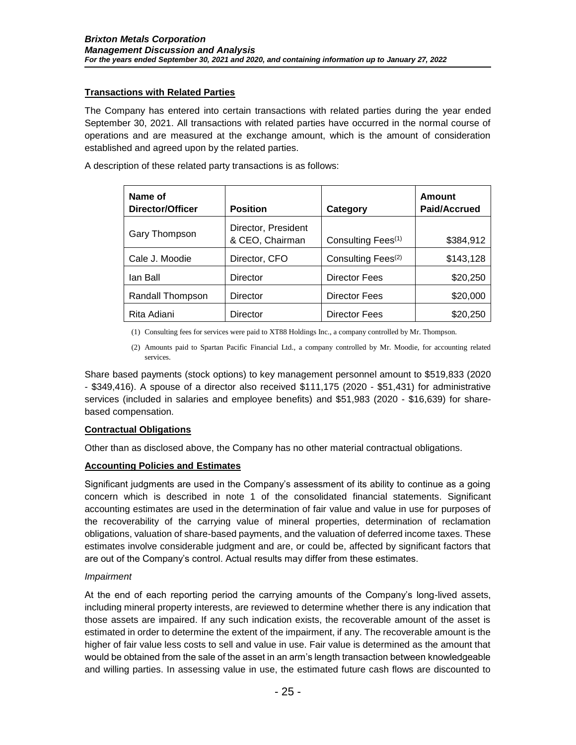## **Transactions with Related Parties**

The Company has entered into certain transactions with related parties during the year ended September 30, 2021. All transactions with related parties have occurred in the normal course of operations and are measured at the exchange amount, which is the amount of consideration established and agreed upon by the related parties.

A description of these related party transactions is as follows:

| Name of<br><b>Director/Officer</b> | <b>Position</b>                        | Category                       | <b>Amount</b><br><b>Paid/Accrued</b> |
|------------------------------------|----------------------------------------|--------------------------------|--------------------------------------|
| Gary Thompson                      | Director, President<br>& CEO, Chairman | Consulting Fees <sup>(1)</sup> | \$384,912                            |
| Cale J. Moodie                     | Director, CFO                          | Consulting Fees <sup>(2)</sup> | \$143,128                            |
| lan Ball                           | Director                               | <b>Director Fees</b>           | \$20,250                             |
| Randall Thompson                   | <b>Director</b>                        | <b>Director Fees</b>           | \$20,000                             |
| Rita Adiani                        | Director                               | <b>Director Fees</b>           | \$20,250                             |

(1) Consulting fees for services were paid to XT88 Holdings Inc., a company controlled by Mr. Thompson.

(2) Amounts paid to Spartan Pacific Financial Ltd., a company controlled by Mr. Moodie, for accounting related services.

Share based payments (stock options) to key management personnel amount to \$519,833 (2020 - \$349,416). A spouse of a director also received \$111,175 (2020 - \$51,431) for administrative services (included in salaries and employee benefits) and \$51,983 (2020 - \$16,639) for sharebased compensation.

### **Contractual Obligations**

Other than as disclosed above, the Company has no other material contractual obligations.

### **Accounting Policies and Estimates**

Significant judgments are used in the Company's assessment of its ability to continue as a going concern which is described in note 1 of the consolidated financial statements. Significant accounting estimates are used in the determination of fair value and value in use for purposes of the recoverability of the carrying value of mineral properties, determination of reclamation obligations, valuation of share-based payments, and the valuation of deferred income taxes. These estimates involve considerable judgment and are, or could be, affected by significant factors that are out of the Company's control. Actual results may differ from these estimates.

### *Impairment*

At the end of each reporting period the carrying amounts of the Company's long-lived assets, including mineral property interests, are reviewed to determine whether there is any indication that those assets are impaired. If any such indication exists, the recoverable amount of the asset is estimated in order to determine the extent of the impairment, if any. The recoverable amount is the higher of fair value less costs to sell and value in use. Fair value is determined as the amount that would be obtained from the sale of the asset in an arm's length transaction between knowledgeable and willing parties. In assessing value in use, the estimated future cash flows are discounted to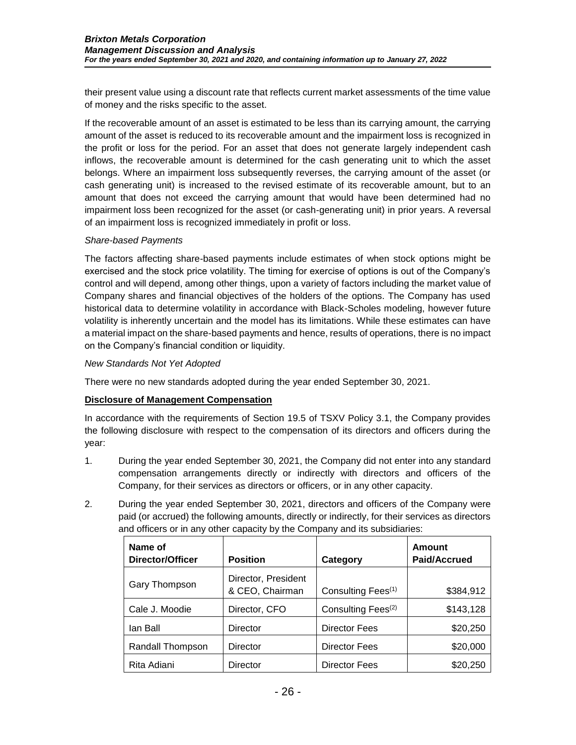their present value using a discount rate that reflects current market assessments of the time value of money and the risks specific to the asset.

If the recoverable amount of an asset is estimated to be less than its carrying amount, the carrying amount of the asset is reduced to its recoverable amount and the impairment loss is recognized in the profit or loss for the period. For an asset that does not generate largely independent cash inflows, the recoverable amount is determined for the cash generating unit to which the asset belongs. Where an impairment loss subsequently reverses, the carrying amount of the asset (or cash generating unit) is increased to the revised estimate of its recoverable amount, but to an amount that does not exceed the carrying amount that would have been determined had no impairment loss been recognized for the asset (or cash-generating unit) in prior years. A reversal of an impairment loss is recognized immediately in profit or loss.

### *Share-based Payments*

The factors affecting share-based payments include estimates of when stock options might be exercised and the stock price volatility. The timing for exercise of options is out of the Company's control and will depend, among other things, upon a variety of factors including the market value of Company shares and financial objectives of the holders of the options. The Company has used historical data to determine volatility in accordance with Black-Scholes modeling, however future volatility is inherently uncertain and the model has its limitations. While these estimates can have a material impact on the share-based payments and hence, results of operations, there is no impact on the Company's financial condition or liquidity.

#### *New Standards Not Yet Adopted*

There were no new standards adopted during the year ended September 30, 2021.

### **Disclosure of Management Compensation**

In accordance with the requirements of Section 19.5 of TSXV Policy 3.1, the Company provides the following disclosure with respect to the compensation of its directors and officers during the year:

- 1. During the year ended September 30, 2021, the Company did not enter into any standard compensation arrangements directly or indirectly with directors and officers of the Company, for their services as directors or officers, or in any other capacity.
- 2. During the year ended September 30, 2021, directors and officers of the Company were paid (or accrued) the following amounts, directly or indirectly, for their services as directors and officers or in any other capacity by the Company and its subsidiaries:

| Name of<br>Director/Officer | <b>Position</b>                        | Category                       | Amount<br>Paid/Accrued |
|-----------------------------|----------------------------------------|--------------------------------|------------------------|
| Gary Thompson               | Director, President<br>& CEO, Chairman | Consulting Fees <sup>(1)</sup> | \$384,912              |
| Cale J. Moodie              | Director, CFO                          | Consulting Fees <sup>(2)</sup> | \$143,128              |
| lan Ball                    | Director                               | <b>Director Fees</b>           | \$20,250               |
| Randall Thompson            | Director                               | <b>Director Fees</b>           | \$20,000               |
| Rita Adiani                 | Director                               | <b>Director Fees</b>           | \$20,250               |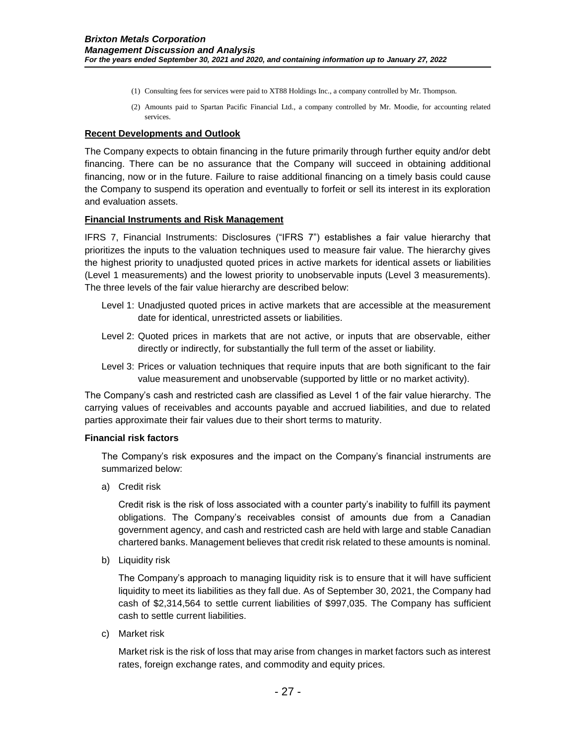- (1) Consulting fees for services were paid to XT88 Holdings Inc., a company controlled by Mr. Thompson.
- (2) Amounts paid to Spartan Pacific Financial Ltd., a company controlled by Mr. Moodie, for accounting related services.

#### **Recent Developments and Outlook**

The Company expects to obtain financing in the future primarily through further equity and/or debt financing. There can be no assurance that the Company will succeed in obtaining additional financing, now or in the future. Failure to raise additional financing on a timely basis could cause the Company to suspend its operation and eventually to forfeit or sell its interest in its exploration and evaluation assets.

#### **Financial Instruments and Risk Management**

IFRS 7, Financial Instruments: Disclosures ("IFRS 7") establishes a fair value hierarchy that prioritizes the inputs to the valuation techniques used to measure fair value. The hierarchy gives the highest priority to unadjusted quoted prices in active markets for identical assets or liabilities (Level 1 measurements) and the lowest priority to unobservable inputs (Level 3 measurements). The three levels of the fair value hierarchy are described below:

- Level 1: Unadjusted quoted prices in active markets that are accessible at the measurement date for identical, unrestricted assets or liabilities.
- Level 2: Quoted prices in markets that are not active, or inputs that are observable, either directly or indirectly, for substantially the full term of the asset or liability.
- Level 3: Prices or valuation techniques that require inputs that are both significant to the fair value measurement and unobservable (supported by little or no market activity).

The Company's cash and restricted cash are classified as Level 1 of the fair value hierarchy. The carrying values of receivables and accounts payable and accrued liabilities, and due to related parties approximate their fair values due to their short terms to maturity.

#### **Financial risk factors**

The Company's risk exposures and the impact on the Company's financial instruments are summarized below:

a) Credit risk

Credit risk is the risk of loss associated with a counter party's inability to fulfill its payment obligations. The Company's receivables consist of amounts due from a Canadian government agency, and cash and restricted cash are held with large and stable Canadian chartered banks. Management believes that credit risk related to these amounts is nominal.

b) Liquidity risk

The Company's approach to managing liquidity risk is to ensure that it will have sufficient liquidity to meet its liabilities as they fall due. As of September 30, 2021, the Company had cash of \$2,314,564 to settle current liabilities of \$997,035. The Company has sufficient cash to settle current liabilities.

c) Market risk

Market risk is the risk of loss that may arise from changes in market factors such as interest rates, foreign exchange rates, and commodity and equity prices.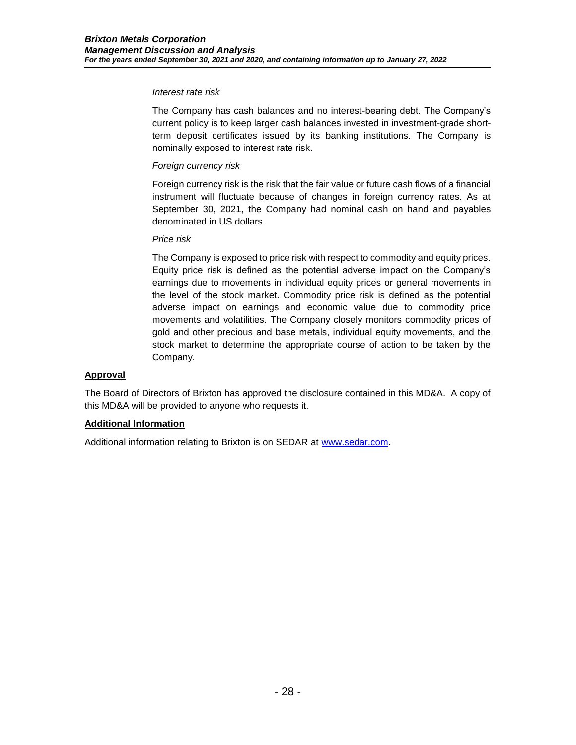#### *Interest rate risk*

The Company has cash balances and no interest-bearing debt. The Company's current policy is to keep larger cash balances invested in investment-grade shortterm deposit certificates issued by its banking institutions. The Company is nominally exposed to interest rate risk.

## *Foreign currency risk*

Foreign currency risk is the risk that the fair value or future cash flows of a financial instrument will fluctuate because of changes in foreign currency rates. As at September 30, 2021, the Company had nominal cash on hand and payables denominated in US dollars.

### *Price risk*

The Company is exposed to price risk with respect to commodity and equity prices. Equity price risk is defined as the potential adverse impact on the Company's earnings due to movements in individual equity prices or general movements in the level of the stock market. Commodity price risk is defined as the potential adverse impact on earnings and economic value due to commodity price movements and volatilities. The Company closely monitors commodity prices of gold and other precious and base metals, individual equity movements, and the stock market to determine the appropriate course of action to be taken by the Company.

### **Approval**

The Board of Directors of Brixton has approved the disclosure contained in this MD&A. A copy of this MD&A will be provided to anyone who requests it.

### **Additional Information**

Additional information relating to Brixton is on SEDAR at [www.sedar.com.](http://www.sedar.com/)